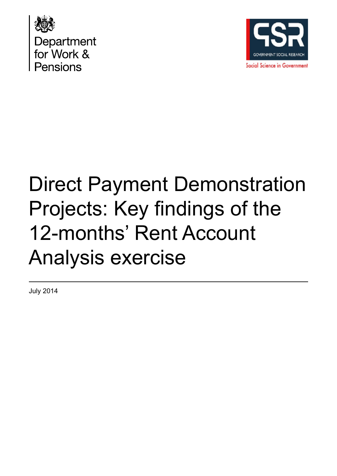



# Direct Payment Demonstration Projects: Key findings of the 12-months' Rent Account Analysis exercise

July 2014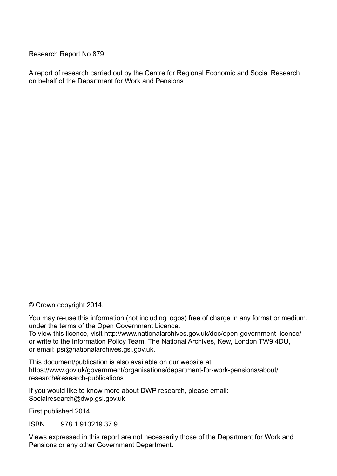Research Report No 879

A report of research carried out by the Centre for Regional Economic and Social Research on behalf of the Department for Work and Pensions

© Crown copyright 2014.

You may re-use this information (not including logos) free of charge in any format or medium, under the terms of the Open Government Licence. To view this licence, visit http://www.nationalarchives.gov.uk/doc/open-government-licence/ or write to the Information Policy Team, The National Archives, Kew, London TW9 4DU,

or email: psi@nationalarchives.gsi.gov.uk.

This document/publication is also available on our website at: https://www.gov.uk/government/organisations/department-for-work-pensions/about/ research#research-publications

If you would like to know more about DWP research, please email: Socialresearch@dwp.gsi.gov.uk

First published 2014.

ISBN 978 1 910219 37 9

Views expressed in this report are not necessarily those of the Department for Work and Pensions or any other Government Department.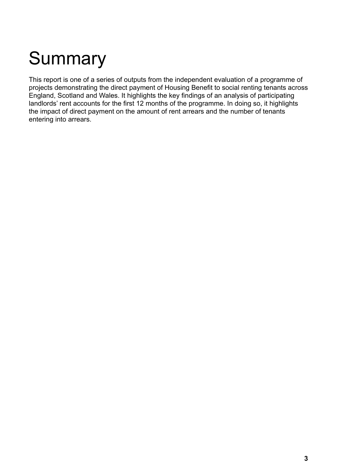# <span id="page-2-0"></span>**Summary**

This report is one of a series of outputs from the independent evaluation of a programme of projects demonstrating the direct payment of Housing Benefit to social renting tenants across England, Scotland and Wales. It highlights the key findings of an analysis of participating landlords' rent accounts for the first 12 months of the programme. In doing so, it highlights the impact of direct payment on the amount of rent arrears and the number of tenants entering into arrears.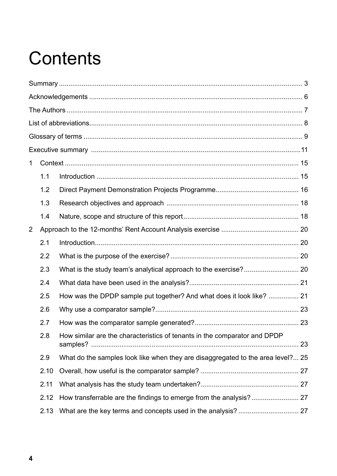# **Contents**

| $\mathbf{1}$   |      |                                                                                 |    |
|----------------|------|---------------------------------------------------------------------------------|----|
|                | 1.1  |                                                                                 |    |
|                | 1.2  |                                                                                 |    |
|                | 1.3  |                                                                                 |    |
|                | 1.4  |                                                                                 |    |
| $\overline{2}$ |      |                                                                                 |    |
|                | 2.1  |                                                                                 |    |
|                | 2.2  |                                                                                 |    |
|                | 2.3  |                                                                                 |    |
|                | 2.4  |                                                                                 |    |
|                | 2.5  | How was the DPDP sample put together? And what does it look like?  21           |    |
|                | 2.6  |                                                                                 |    |
|                | 2.7  |                                                                                 |    |
|                | 2.8  | How similar are the characteristics of tenants in the comparator and DPDP       | 23 |
|                | 2.9  | What do the samples look like when they are disaggregated to the area level? 25 |    |
|                | 2.10 |                                                                                 |    |
|                | 2.11 |                                                                                 |    |
|                | 2.12 |                                                                                 |    |
|                | 2.13 |                                                                                 |    |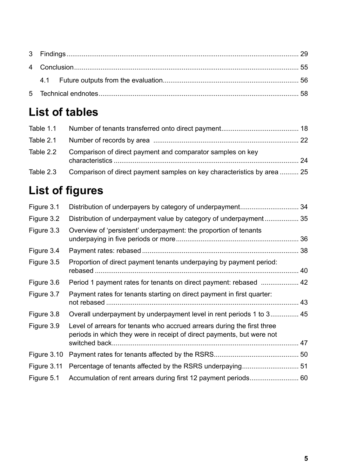## **List of tables**

| Table 1.1 |                                                                         |  |
|-----------|-------------------------------------------------------------------------|--|
| Table 2.1 |                                                                         |  |
| Table 2.2 | Comparison of direct payment and comparator samples on key              |  |
| Table 2.3 | Comparison of direct payment samples on key characteristics by area  25 |  |

## **List of figures**

| Figure 3.1  |                                                                                                                                                   |  |
|-------------|---------------------------------------------------------------------------------------------------------------------------------------------------|--|
| Figure 3.2  | Distribution of underpayment value by category of underpayment 35                                                                                 |  |
| Figure 3.3  | Overview of 'persistent' underpayment: the proportion of tenants                                                                                  |  |
| Figure 3.4  |                                                                                                                                                   |  |
| Figure 3.5  | Proportion of direct payment tenants underpaying by payment period:                                                                               |  |
| Figure 3.6  |                                                                                                                                                   |  |
| Figure 3.7  | Payment rates for tenants starting on direct payment in first quarter:                                                                            |  |
| Figure 3.8  | Overall underpayment by underpayment level in rent periods 1 to 3 45                                                                              |  |
| Figure 3.9  | Level of arrears for tenants who accrued arrears during the first three<br>periods in which they were in receipt of direct payments, but were not |  |
|             |                                                                                                                                                   |  |
| Figure 3.10 |                                                                                                                                                   |  |
| Figure 3.11 |                                                                                                                                                   |  |
| Figure 5.1  |                                                                                                                                                   |  |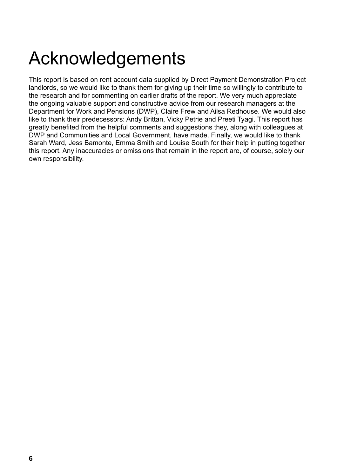# <span id="page-5-0"></span>Acknowledgements

This report is based on rent account data supplied by Direct Payment Demonstration Project landlords, so we would like to thank them for giving up their time so willingly to contribute to the research and for commenting on earlier drafts of the report. We very much appreciate the ongoing valuable support and constructive advice from our research managers at the Department for Work and Pensions (DWP), Claire Frew and Ailsa Redhouse. We would also like to thank their predecessors: Andy Brittan, Vicky Petrie and Preeti Tyagi. This report has greatly benefited from the helpful comments and suggestions they, along with colleagues at DWP and Communities and Local Government, have made. Finally, we would like to thank Sarah Ward, Jess Bamonte, Emma Smith and Louise South for their help in putting together this report. Any inaccuracies or omissions that remain in the report are, of course, solely our own responsibility.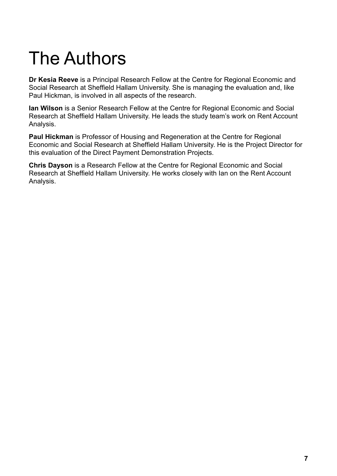# <span id="page-6-0"></span>The Authors

**Dr Kesia Reeve** is a Principal Research Fellow at the Centre for Regional Economic and Social Research at Sheffield Hallam University. She is managing the evaluation and, like Paul Hickman, is involved in all aspects of the research.

**Ian Wilson** is a Senior Research Fellow at the Centre for Regional Economic and Social Research at Sheffield Hallam University. He leads the study team's work on Rent Account Analysis.

**Paul Hickman** is Professor of Housing and Regeneration at the Centre for Regional Economic and Social Research at Sheffield Hallam University. He is the Project Director for this evaluation of the Direct Payment Demonstration Projects.

**Chris Dayson** is a Research Fellow at the Centre for Regional Economic and Social Research at Sheffield Hallam University. He works closely with Ian on the Rent Account Analysis.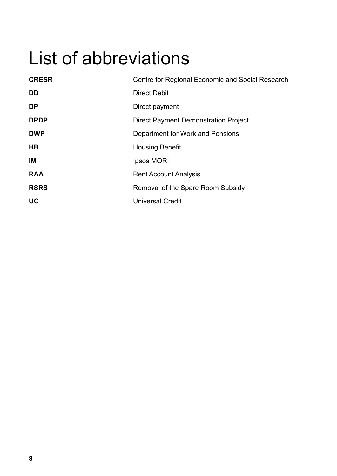# <span id="page-7-0"></span>List of abbreviations

| <b>CRESR</b>   | Centre for Regional Economic and Social Research |
|----------------|--------------------------------------------------|
| DD             | <b>Direct Debit</b>                              |
| <b>DP</b>      | Direct payment                                   |
| <b>DPDP</b>    | <b>Direct Payment Demonstration Project</b>      |
| <b>DWP</b>     | Department for Work and Pensions                 |
| H <sub>B</sub> | <b>Housing Benefit</b>                           |
| IM             | Ipsos MORI                                       |
| <b>RAA</b>     | <b>Rent Account Analysis</b>                     |
| <b>RSRS</b>    | Removal of the Spare Room Subsidy                |
| <b>UC</b>      | <b>Universal Credit</b>                          |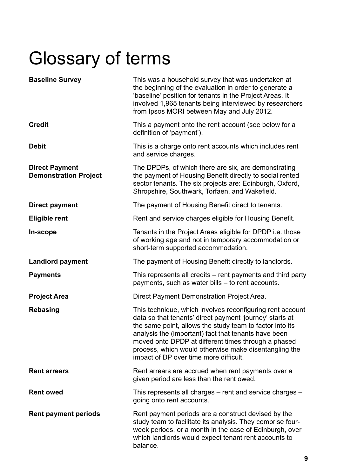# <span id="page-8-0"></span>Glossary of terms

| <b>Baseline Survey</b>                                | This was a household survey that was undertaken at<br>the beginning of the evaluation in order to generate a<br>'baseline' position for tenants in the Project Areas. It<br>involved 1,965 tenants being interviewed by researchers<br>from Ipsos MORI between May and July 2012.                                                                                                                   |
|-------------------------------------------------------|-----------------------------------------------------------------------------------------------------------------------------------------------------------------------------------------------------------------------------------------------------------------------------------------------------------------------------------------------------------------------------------------------------|
| <b>Credit</b>                                         | This a payment onto the rent account (see below for a<br>definition of 'payment').                                                                                                                                                                                                                                                                                                                  |
| <b>Debit</b>                                          | This is a charge onto rent accounts which includes rent<br>and service charges.                                                                                                                                                                                                                                                                                                                     |
| <b>Direct Payment</b><br><b>Demonstration Project</b> | The DPDPs, of which there are six, are demonstrating<br>the payment of Housing Benefit directly to social rented<br>sector tenants. The six projects are: Edinburgh, Oxford,<br>Shropshire, Southwark, Torfaen, and Wakefield.                                                                                                                                                                      |
| <b>Direct payment</b>                                 | The payment of Housing Benefit direct to tenants.                                                                                                                                                                                                                                                                                                                                                   |
| <b>Eligible rent</b>                                  | Rent and service charges eligible for Housing Benefit.                                                                                                                                                                                                                                                                                                                                              |
| In-scope                                              | Tenants in the Project Areas eligible for DPDP i.e. those<br>of working age and not in temporary accommodation or<br>short-term supported accommodation.                                                                                                                                                                                                                                            |
| <b>Landlord payment</b>                               | The payment of Housing Benefit directly to landlords.                                                                                                                                                                                                                                                                                                                                               |
| <b>Payments</b>                                       | This represents all credits – rent payments and third party<br>payments, such as water bills – to rent accounts.                                                                                                                                                                                                                                                                                    |
| <b>Project Area</b>                                   | Direct Payment Demonstration Project Area.                                                                                                                                                                                                                                                                                                                                                          |
| <b>Rebasing</b>                                       | This technique, which involves reconfiguring rent account<br>data so that tenants' direct payment 'journey' starts at<br>the same point, allows the study team to factor into its<br>analysis the (important) fact that tenants have been<br>moved onto DPDP at different times through a phased<br>process, which would otherwise make disentangling the<br>impact of DP over time more difficult. |
| <b>Rent arrears</b>                                   | Rent arrears are accrued when rent payments over a<br>given period are less than the rent owed.                                                                                                                                                                                                                                                                                                     |
| <b>Rent owed</b>                                      | This represents all charges - rent and service charges -<br>going onto rent accounts.                                                                                                                                                                                                                                                                                                               |
| <b>Rent payment periods</b>                           | Rent payment periods are a construct devised by the<br>study team to facilitate its analysis. They comprise four-<br>week periods, or a month in the case of Edinburgh, over<br>which landlords would expect tenant rent accounts to<br>balance.                                                                                                                                                    |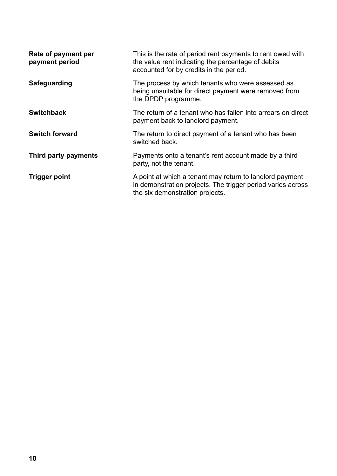| Rate of payment per<br>payment period | This is the rate of period rent payments to rent owed with<br>the value rent indicating the percentage of debits<br>accounted for by credits in the period. |
|---------------------------------------|-------------------------------------------------------------------------------------------------------------------------------------------------------------|
| Safeguarding                          | The process by which tenants who were assessed as<br>being unsuitable for direct payment were removed from<br>the DPDP programme.                           |
| <b>Switchback</b>                     | The return of a tenant who has fallen into arrears on direct<br>payment back to landlord payment.                                                           |
| <b>Switch forward</b>                 | The return to direct payment of a tenant who has been<br>switched back.                                                                                     |
| Third party payments                  | Payments onto a tenant's rent account made by a third<br>party, not the tenant.                                                                             |
| <b>Trigger point</b>                  | A point at which a tenant may return to landlord payment<br>in demonstration projects. The trigger period varies across<br>the six demonstration projects.  |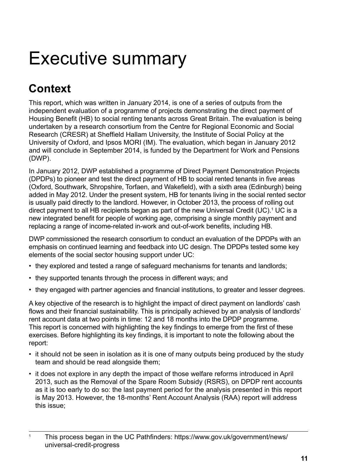## <span id="page-10-0"></span>Executive summary

## **Context**

This report, which was written in January 2014, is one of a series of outputs from the independent evaluation of a programme of projects demonstrating the direct payment of Housing Benefit (HB) to social renting tenants across Great Britain. The evaluation is being undertaken by a research consortium from the Centre for Regional Economic and Social Research (CRESR) at Sheffield Hallam University, the Institute of Social Policy at the University of Oxford, and Ipsos MORI (IM). The evaluation, which began in January 2012 and will conclude in September 2014, is funded by the Department for Work and Pensions (DWP).

In January 2012, DWP established a programme of Direct Payment Demonstration Projects (DPDPs) to pioneer and test the direct payment of HB to social rented tenants in five areas (Oxford, Southwark, Shropshire, Torfaen, and Wakefield), with a sixth area (Edinburgh) being added in May 2012. Under the present system, HB for tenants living in the social rented sector is usually paid directly to the landlord. However, in October 2013, the process of rolling out direct payment to all HB recipients began as part of the new Universal Credit (UC).<sup>1</sup> UC is a new integrated benefit for people of working age, comprising a single monthly payment and replacing a range of income-related in-work and out-of-work benefits, including HB.

DWP commissioned the research consortium to conduct an evaluation of the DPDPs with an emphasis on continued learning and feedback into UC design. The DPDPs tested some key elements of the social sector housing support under UC:

- they explored and tested a range of safeguard mechanisms for tenants and landlords;
- they supported tenants through the process in different ways; and
- they engaged with partner agencies and financial institutions, to greater and lesser degrees.

A key objective of the research is to highlight the impact of direct payment on landlords' cash flows and their financial sustainability. This is principally achieved by an analysis of landlords' rent account data at two points in time: 12 and 18 months into the DPDP programme. This report is concerned with highlighting the key findings to emerge from the first of these exercises. Before highlighting its key findings, it is important to note the following about the report:

- it should not be seen in isolation as it is one of many outputs being produced by the study team and should be read alongside them;
- it does not explore in any depth the impact of those welfare reforms introduced in April 2013, such as the Removal of the Spare Room Subsidy (RSRS), on DPDP rent accounts as it is too early to do so: the last payment period for the analysis presented in this report is May 2013. However, the 18-months' Rent Account Analysis (RAA) report will address this issue;

<sup>&</sup>lt;sup>1</sup> This process began in the UC Pathfinders: [https://www.gov.uk/government/news/]( https://www.gov.uk/government/news/universal-credit-progress) [universal-credit-progress]( https://www.gov.uk/government/news/universal-credit-progress)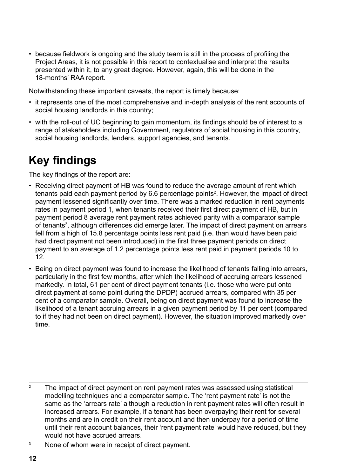• because fieldwork is ongoing and the study team is still in the process of profiling the Project Areas, it is not possible in this report to contextualise and interpret the results presented within it, to any great degree. However, again, this will be done in the 18-months' RAA report.

Notwithstanding these important caveats, the report is timely because:

- it represents one of the most comprehensive and in-depth analysis of the rent accounts of social housing landlords in this country;
- with the roll-out of UC beginning to gain momentum, its findings should be of interest to a range of stakeholders including Government, regulators of social housing in this country, social housing landlords, lenders, support agencies, and tenants.

## **Key findings**

The key findings of the report are:

- Receiving direct payment of HB was found to reduce the average amount of rent which tenants paid each payment period by 6.6 percentage points<sup>2</sup>. However, the impact of direct payment lessened significantly over time. There was a marked reduction in rent payments rates in payment period 1, when tenants received their first direct payment of HB, but in payment period 8 average rent payment rates achieved parity with a comparator sample of tenants<sup>3</sup>, although differences did emerge later. The impact of direct payment on arrears fell from a high of 15.8 percentage points less rent paid (i.e. than would have been paid had direct payment not been introduced) in the first three payment periods on direct payment to an average of 1.2 percentage points less rent paid in payment periods 10 to 12.
- Being on direct payment was found to increase the likelihood of tenants falling into arrears, particularly in the first few months, after which the likelihood of accruing arrears lessened markedly. In total, 61 per cent of direct payment tenants (i.e. those who were put onto direct payment at some point during the DPDP) accrued arrears, compared with 35 per cent of a comparator sample. Overall, being on direct payment was found to increase the likelihood of a tenant accruing arrears in a given payment period by 11 per cent (compared to if they had not been on direct payment). However, the situation improved markedly over time.

- <sup>2</sup> The impact of direct payment on rent payment rates was assessed using statistical modelling techniques and a comparator sample. The 'rent payment rate' is not the same as the 'arrears rate' although a reduction in rent payment rates will often result in increased arrears. For example, if a tenant has been overpaying their rent for several months and are in credit on their rent account and then underpay for a period of time until their rent account balances, their 'rent payment rate' would have reduced, but they would not have accrued arrears.
- <sup>3</sup> None of whom were in receipt of direct payment.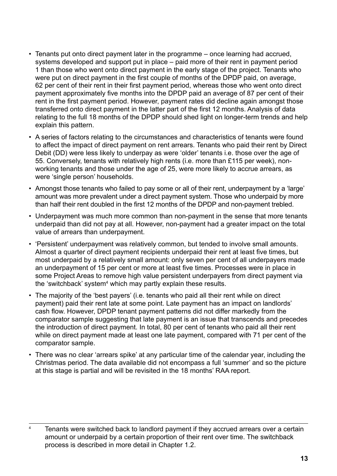- Tenants put onto direct payment later in the programme once learning had accrued, systems developed and support put in place – paid more of their rent in payment period 1 than those who went onto direct payment in the early stage of the project. Tenants who were put on direct payment in the first couple of months of the DPDP paid, on average, 62 per cent of their rent in their first payment period, whereas those who went onto direct payment approximately five months into the DPDP paid an average of 87 per cent of their rent in the first payment period. However, payment rates did decline again amongst those transferred onto direct payment in the latter part of the first 12 months. Analysis of data relating to the full 18 months of the DPDP should shed light on longer-term trends and help explain this pattern.
- A series of factors relating to the circumstances and characteristics of tenants were found to affect the impact of direct payment on rent arrears. Tenants who paid their rent by Direct Debit (DD) were less likely to underpay as were 'older' tenants i.e. those over the age of 55. Conversely, tenants with relatively high rents (i.e. more than £115 per week), nonworking tenants and those under the age of 25, were more likely to accrue arrears, as were 'single person' households.
- Amongst those tenants who failed to pay some or all of their rent, underpayment by a 'large' amount was more prevalent under a direct payment system. Those who underpaid by more than half their rent doubled in the first 12 months of the DPDP and non-payment trebled.
- Underpayment was much more common than non-payment in the sense that more tenants underpaid than did not pay at all. However, non-payment had a greater impact on the total value of arrears than underpayment.
- 'Persistent' underpayment was relatively common, but tended to involve small amounts. Almost a quarter of direct payment recipients underpaid their rent at least five times, but most underpaid by a relatively small amount: only seven per cent of all underpayers made an underpayment of 15 per cent or more at least five times. Processes were in place in some Project Areas to remove high value persistent underpayers from direct payment via the 'switchback' system<sup>4</sup> which may partly explain these results.
- The majority of the 'best payers' (i.e. tenants who paid all their rent while on direct payment) paid their rent late at some point. Late payment has an impact on landlords' cash flow. However, DPDP tenant payment patterns did not differ markedly from the comparator sample suggesting that late payment is an issue that transcends and precedes the introduction of direct payment. In total, 80 per cent of tenants who paid all their rent while on direct payment made at least one late payment, compared with 71 per cent of the comparator sample.
- There was no clear 'arrears spike' at any particular time of the calendar year, including the Christmas period. The data available did not encompass a full 'summer' and so the picture at this stage is partial and will be revisited in the 18 months' RAA report.

<sup>&</sup>lt;sup>4</sup> Tenants were switched back to landlord payment if they accrued arrears over a certain amount or underpaid by a certain proportion of their rent over time. The switchback process is described in more detail in Chapter 1.2.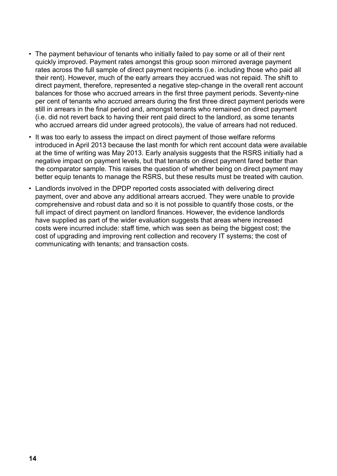- The payment behaviour of tenants who initially failed to pay some or all of their rent quickly improved. Payment rates amongst this group soon mirrored average payment rates across the full sample of direct payment recipients (i.e. including those who paid all their rent). However, much of the early arrears they accrued was not repaid. The shift to direct payment, therefore, represented a negative step-change in the overall rent account balances for those who accrued arrears in the first three payment periods. Seventy-nine per cent of tenants who accrued arrears during the first three direct payment periods were still in arrears in the final period and, amongst tenants who remained on direct payment (i.e. did not revert back to having their rent paid direct to the landlord, as some tenants who accrued arrears did under agreed protocols), the value of arrears had not reduced.
- It was too early to assess the impact on direct payment of those welfare reforms introduced in April 2013 because the last month for which rent account data were available at the time of writing was May 2013. Early analysis suggests that the RSRS initially had a negative impact on payment levels, but that tenants on direct payment fared better than the comparator sample. This raises the question of whether being on direct payment may better equip tenants to manage the RSRS, but these results must be treated with caution.
- Landlords involved in the DPDP reported costs associated with delivering direct payment, over and above any additional arrears accrued. They were unable to provide comprehensive and robust data and so it is not possible to quantify those costs, or the full impact of direct payment on landlord finances. However, the evidence landlords have supplied as part of the wider evaluation suggests that areas where increased costs were incurred include: staff time, which was seen as being the biggest cost; the cost of upgrading and improving rent collection and recovery IT systems; the cost of communicating with tenants; and transaction costs.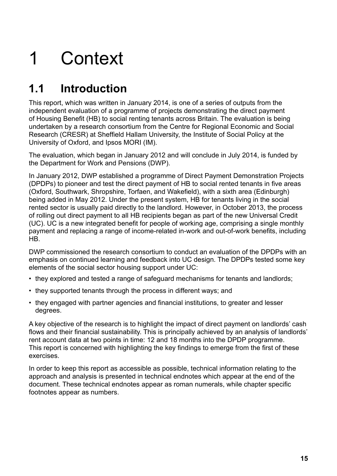# <span id="page-14-0"></span>1 Context

## **1.1 Introduction**

This report, which was written in January 2014, is one of a series of outputs from the independent evaluation of a programme of projects demonstrating the direct payment of Housing Benefit (HB) to social renting tenants across Britain. The evaluation is being undertaken by a research consortium from the Centre for Regional Economic and Social Research (CRESR) at Sheffield Hallam University, the Institute of Social Policy at the University of Oxford, and Ipsos MORI (IM).

The evaluation, which began in January 2012 and will conclude in July 2014, is funded by the Department for Work and Pensions (DWP).

In January 2012, DWP established a programme of Direct Payment Demonstration Projects (DPDPs) to pioneer and test the direct payment of HB to social rented tenants in five areas (Oxford, Southwark, Shropshire, Torfaen, and Wakefield), with a sixth area (Edinburgh) being added in May 2012. Under the present system, HB for tenants living in the social rented sector is usually paid directly to the landlord. However, in October 2013, the process of rolling out direct payment to all HB recipients began as part of the new Universal Credit (UC). UC is a new integrated benefit for people of working age, comprising a single monthly payment and replacing a range of income-related in-work and out-of-work benefits, including HB.

DWP commissioned the research consortium to conduct an evaluation of the DPDPs with an emphasis on continued learning and feedback into UC design. The DPDPs tested some key elements of the social sector housing support under UC:

- they explored and tested a range of safeguard mechanisms for tenants and landlords;
- they supported tenants through the process in different ways; and
- they engaged with partner agencies and financial institutions, to greater and lesser degrees.

A key objective of the research is to highlight the impact of direct payment on landlords' cash flows and their financial sustainability. This is principally achieved by an analysis of landlords' rent account data at two points in time: 12 and 18 months into the DPDP programme. This report is concerned with highlighting the key findings to emerge from the first of these exercises.

In order to keep this report as accessible as possible, technical information relating to the approach and analysis is presented in technical endnotes which appear at the end of the document. These technical endnotes appear as roman numerals, while chapter specific footnotes appear as numbers.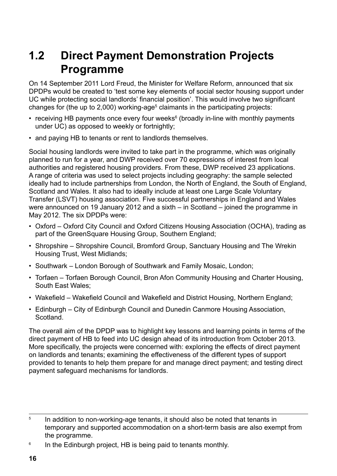## <span id="page-15-0"></span>**1.2 Direct Payment Demonstration Projects Programme**

On 14 September 2011 Lord Freud, the Minister for Welfare Reform, announced that six DPDPs would be created to 'test some key elements of social sector housing support under UC while protecting social landlords' financial position'. This would involve two significant changes for (the up to 2,000) working-age<sup>5</sup> claimants in the participating projects:

- receiving HB payments once every four weeks<sup>6</sup> (broadly in-line with monthly payments under UC) as opposed to weekly or fortnightly;
- and paying HB to tenants or rent to landlords themselves.

Social housing landlords were invited to take part in the programme, which was originally planned to run for a year, and DWP received over 70 expressions of interest from local authorities and registered housing providers. From these, DWP received 23 applications. A range of criteria was used to select projects including geography: the sample selected ideally had to include partnerships from London, the North of England, the South of England, Scotland and Wales. It also had to ideally include at least one Large Scale Voluntary Transfer (LSVT) housing association. Five successful partnerships in England and Wales were announced on 19 January 2012 and a sixth – in Scotland – joined the programme in May 2012. The six DPDPs were:

- Oxford Oxford City Council and Oxford Citizens Housing Association (OCHA), trading as part of the GreenSquare Housing Group, Southern England;
- Shropshire Shropshire Council, Bromford Group, Sanctuary Housing and The Wrekin Housing Trust, West Midlands;
- Southwark London Borough of Southwark and Family Mosaic, London;
- Torfaen Torfaen Borough Council, Bron Afon Community Housing and Charter Housing, South East Wales;
- Wakefield Wakefield Council and Wakefield and District Housing, Northern England;
- Edinburgh City of Edinburgh Council and Dunedin Canmore Housing Association, Scotland.

The overall aim of the DPDP was to highlight key lessons and learning points in terms of the direct payment of HB to feed into UC design ahead of its introduction from October 2013. More specifically, the projects were concerned with: exploring the effects of direct payment on landlords and tenants; examining the effectiveness of the different types of support provided to tenants to help them prepare for and manage direct payment; and testing direct payment safeguard mechanisms for landlords.

 $5$  In addition to non-working-age tenants, it should also be noted that tenants in temporary and supported accommodation on a short-term basis are also exempt from the programme.

<sup>&</sup>lt;sup>6</sup> In the Edinburgh project, HB is being paid to tenants monthly.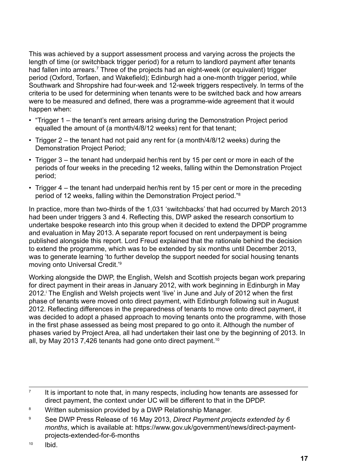This was achieved by a support assessment process and varying across the projects the length of time (or switchback trigger period) for a return to landlord payment after tenants had fallen into arrears.<sup>7</sup> Three of the projects had an eight-week (or equivalent) trigger period (Oxford, Torfaen, and Wakefield); Edinburgh had a one-month trigger period, while Southwark and Shropshire had four-week and 12-week triggers respectively. In terms of the criteria to be used for determining when tenants were to be switched back and how arrears were to be measured and defined, there was a programme-wide agreement that it would happen when:

- "Trigger 1 the tenant's rent arrears arising during the Demonstration Project period equalled the amount of (a month/4/8/12 weeks) rent for that tenant;
- Trigger 2 the tenant had not paid any rent for (a month/4/8/12 weeks) during the Demonstration Project Period;
- Trigger 3 the tenant had underpaid her/his rent by 15 per cent or more in each of the periods of four weeks in the preceding 12 weeks, falling within the Demonstration Project period;
- Trigger 4 the tenant had underpaid her/his rent by 15 per cent or more in the preceding period of 12 weeks, falling within the Demonstration Project period."8

In practice, more than two-thirds of the 1,031 'switchbacks' that had occurred by March 2013 had been under triggers 3 and 4. Reflecting this, DWP asked the research consortium to undertake bespoke research into this group when it decided to extend the DPDP programme and evaluation in May 2013. A separate report focused on rent underpayment is being published alongside this report. Lord Freud explained that the rationale behind the decision to extend the programme, which was to be extended by six months until December 2013, was to generate learning 'to further develop the support needed for social housing tenants moving onto Universal Credit.'9

Working alongside the DWP, the English, Welsh and Scottish projects began work preparing for direct payment in their areas in January 2012, with work beginning in Edinburgh in May 2012. The English and Welsh projects went 'live' in June and July of 2012 when the first phase of tenants were moved onto direct payment, with Edinburgh following suit in August 2012. Reflecting differences in the preparedness of tenants to move onto direct payment, it was decided to adopt a phased approach to moving tenants onto the programme, with those in the first phase assessed as being most prepared to go onto it. Although the number of phases varied by Project Area, all had undertaken their last one by the beginning of 2013. In all, by May 2013 7,426 tenants had gone onto direct payment.<sup>10</sup>

 $<sup>7</sup>$  It is important to note that, in many respects, including how tenants are assessed for</sup> direct payment, the context under UC will be different to that in the DPDP.

<sup>8</sup> Written submission provided by a DWP Relationship Manager.

<sup>9</sup> See DWP Press Release of 16 May 2013, *Direct Payment projects extended by 6 months*, which is available at: https://www.gov.uk/government/news/direct-paymentprojects-extended-for-6-months

<sup>10</sup> Ibid.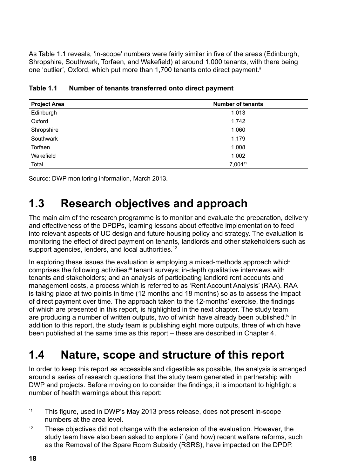<span id="page-17-0"></span>As Table 1.1 reveals, 'in-scope' numbers were fairly similar in five of the areas (Edinburgh, Shropshire, Southwark, Torfaen, and Wakefield) at around 1,000 tenants, with there being one 'outlier', Oxford, which put more than 1,700 tenants onto direct payment.<sup>ii</sup>

| <b>Project Area</b> | <b>Number of tenants</b> |  |  |
|---------------------|--------------------------|--|--|
| Edinburgh           | 1,013                    |  |  |
| Oxford              | 1,742                    |  |  |
| Shropshire          | 1,060                    |  |  |
| Southwark           | 1,179                    |  |  |
| Torfaen             | 1,008                    |  |  |
| Wakefield           | 1,002                    |  |  |
| Total               | 7,00411                  |  |  |

| Table 1.1 | Number of tenants transferred onto direct payment |
|-----------|---------------------------------------------------|
|-----------|---------------------------------------------------|

Source: DWP monitoring information, March 2013.

## **1.3 Research objectives and approach**

The main aim of the research programme is to monitor and evaluate the preparation, delivery and effectiveness of the DPDPs, learning lessons about effective implementation to feed into relevant aspects of UC design and future housing policy and strategy. The evaluation is monitoring the effect of direct payment on tenants, landlords and other stakeholders such as support agencies, lenders, and local authorities.<sup>12</sup>

In exploring these issues the evaluation is employing a mixed-methods approach which comprises the following activities:<sup>ii</sup> tenant surveys; in-depth qualitative interviews with tenants and stakeholders; and an analysis of participating landlord rent accounts and management costs, a process which is referred to as 'Rent Account Analysis' (RAA). RAA is taking place at two points in time (12 months and 18 months) so as to assess the impact of direct payment over time. The approach taken to the 12-months' exercise, the findings of which are presented in this report, is highlighted in the next chapter. The study team are producing a number of written outputs, two of which have already been published.<sup>iv</sup> In addition to this report, the study team is publishing eight more outputs, three of which have been published at the same time as this report – these are described in Chapter 4.

## **1.4 Nature, scope and structure of this report**

In order to keep this report as accessible and digestible as possible, the analysis is arranged around a series of research questions that the study team generated in partnership with DWP and projects. Before moving on to consider the findings, it is important to highlight a number of health warnings about this report:

<sup>11</sup> This figure, used in DWP's May 2013 press release, does not present in-scope numbers at the area level.

 $12$  These objectives did not change with the extension of the evaluation. However, the study team have also been asked to explore if (and how) recent welfare reforms, such as the Removal of the Spare Room Subsidy (RSRS), have impacted on the DPDP.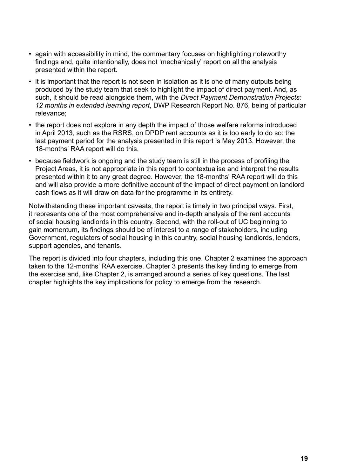- again with accessibility in mind, the commentary focuses on highlighting noteworthy findings and, quite intentionally, does not 'mechanically' report on all the analysis presented within the report.
- it is important that the report is not seen in isolation as it is one of many outputs being produced by the study team that seek to highlight the impact of direct payment. And, as such, it should be read alongside them, with the *Direct Payment Demonstration Projects: 12 months in extended learning report*, DWP Research Report No. 876, being of particular relevance;
- the report does not explore in any depth the impact of those welfare reforms introduced in April 2013, such as the RSRS, on DPDP rent accounts as it is too early to do so: the last payment period for the analysis presented in this report is May 2013. However, the 18-months' RAA report will do this.
- because fieldwork is ongoing and the study team is still in the process of profiling the Project Areas, it is not appropriate in this report to contextualise and interpret the results presented within it to any great degree. However, the 18-months' RAA report will do this and will also provide a more definitive account of the impact of direct payment on landlord cash flows as it will draw on data for the programme in its entirety.

Notwithstanding these important caveats, the report is timely in two principal ways. First, it represents one of the most comprehensive and in-depth analysis of the rent accounts of social housing landlords in this country. Second, with the roll-out of UC beginning to gain momentum, its findings should be of interest to a range of stakeholders, including Government, regulators of social housing in this country, social housing landlords, lenders, support agencies, and tenants.

The report is divided into four chapters, including this one. Chapter 2 examines the approach taken to the 12-months' RAA exercise. Chapter 3 presents the key finding to emerge from the exercise and, like Chapter 2, is arranged around a series of key questions. The last chapter highlights the key implications for policy to emerge from the research.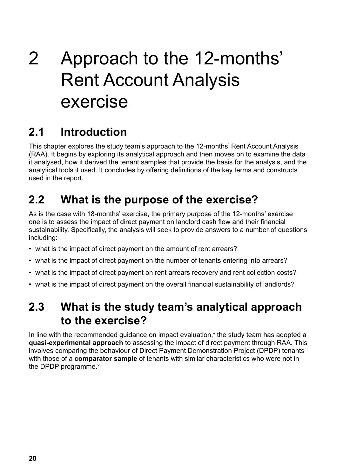# <span id="page-19-0"></span>2 Approach to the 12-months' Rent Account Analysis exercise

## **2.1 Introduction**

This chapter explores the study team's approach to the 12-months' Rent Account Analysis (RAA). It begins by exploring its analytical approach and then moves on to examine the data it analysed, how it derived the tenant samples that provide the basis for the analysis, and the analytical tools it used. It concludes by offering definitions of the key terms and constructs used in the report.

## **2.2 What is the purpose of the exercise?**

As is the case with 18-months' exercise, the primary purpose of the 12-months' exercise one is to assess the impact of direct payment on landlord cash flow and their financial sustainability. Specifically, the analysis will seek to provide answers to a number of questions including:

- what is the impact of direct payment on the amount of rent arrears?
- what is the impact of direct payment on the number of tenants entering into arrears?
- what is the impact of direct payment on rent arrears recovery and rent collection costs?
- what is the impact of direct payment on the overall financial sustainability of landlords?

## **2.3 What is the study team's analytical approach to the exercise?**

In line with the recommended guidance on impact evaluation, $v$  the study team has adopted a **quasi-experimental approach** to assessing the impact of direct payment through RAA. This involves comparing the behaviour of Direct Payment Demonstration Project (DPDP) tenants with those of a **comparator sample** of tenants with similar characteristics who were not in the DPDP programme.<sup>vi</sup>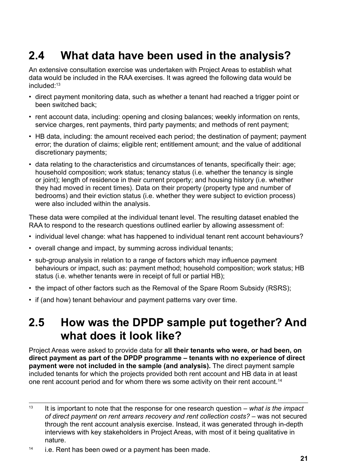## <span id="page-20-0"></span>**2.4 What data have been used in the analysis?**

An extensive consultation exercise was undertaken with Project Areas to establish what data would be included in the RAA exercises. It was agreed the following data would be included<sup>-13</sup>

- direct payment monitoring data, such as whether a tenant had reached a trigger point or been switched back;
- rent account data, including: opening and closing balances; weekly information on rents, service charges, rent payments, third party payments; and methods of rent payment;
- HB data, including: the amount received each period; the destination of payment; payment error; the duration of claims; eligible rent; entitlement amount; and the value of additional discretionary payments;
- data relating to the characteristics and circumstances of tenants, specifically their: age; household composition; work status; tenancy status (i.e. whether the tenancy is single or joint); length of residence in their current property; and housing history (i.e. whether they had moved in recent times). Data on their property (property type and number of bedrooms) and their eviction status (i.e. whether they were subject to eviction process) were also included within the analysis.

These data were compiled at the individual tenant level. The resulting dataset enabled the RAA to respond to the research questions outlined earlier by allowing assessment of:

- individual level change: what has happened to individual tenant rent account behaviours?
- overall change and impact, by summing across individual tenants;
- sub-group analysis in relation to a range of factors which may influence payment behaviours or impact, such as: payment method; household composition; work status; HB status (i.e. whether tenants were in receipt of full or partial HB);
- the impact of other factors such as the Removal of the Spare Room Subsidy (RSRS);
- if (and how) tenant behaviour and payment patterns vary over time.

## **2.5 How was the DPDP sample put together? And what does it look like?**

Project Areas were asked to provide data for **all their tenants who were, or had been, on direct payment as part of the DPDP programme – tenants with no experience of direct payment were not included in the sample (and analysis).** The direct payment sample included tenants for which the projects provided both rent account and HB data in at least one rent account period and for whom there ws some activity on their rent account.<sup>14</sup>

<sup>13</sup> It is important to note that the response for one research question – *what is the impact of direct payment on rent arrears recovery and rent collection costs?* – was not secured through the rent account analysis exercise. Instead, it was generated through in-depth interviews with key stakeholders in Project Areas, with most of it being qualitative in nature.

 $14$  i.e. Rent has been owed or a payment has been made.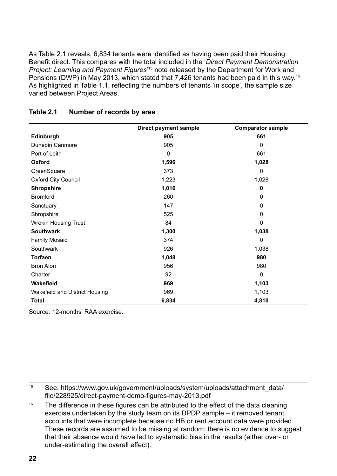<span id="page-21-0"></span>As Table 2.1 reveals, 6,834 tenants were identified as having been paid their Housing Benefit direct. This compares with the total included in the '*Direct Payment Demonstration*  Project: Learning and Payment Figures<sup>15</sup> note released by the Department for Work and Pensions (DWP) in May 2013, which stated that 7,426 tenants had been paid in this way.<sup>16</sup> As highlighted in Table 1.1, reflecting the numbers of tenants 'in scope', the sample size varied between Project Areas.

|                                | <b>Direct payment sample</b> | <b>Comparator sample</b> |
|--------------------------------|------------------------------|--------------------------|
| Edinburgh                      | 905                          | 661                      |
| Dunedin Canmore                | 905                          | 0                        |
| Port of Leith                  | 0                            | 661                      |
| Oxford                         | 1,596                        | 1,028                    |
| GreenSquare                    | 373                          | 0                        |
| <b>Oxford City Council</b>     | 1,223                        | 1,028                    |
| <b>Shropshire</b>              | 1,016                        | 0                        |
| <b>Bromford</b>                | 260                          | 0                        |
| Sanctuary                      | 147                          | 0                        |
| Shropshire                     | 525                          | 0                        |
| <b>Wrekin Housing Trust</b>    | 84                           | 0                        |
| <b>Southwark</b>               | 1,300                        | 1,038                    |
| <b>Family Mosaic</b>           | 374                          | 0                        |
| Southwark                      | 926                          | 1,038                    |
| <b>Torfaen</b>                 | 1,048                        | 980                      |
| <b>Bron Afon</b>               | 956                          | 980                      |
| Charter                        | 92                           | $\mathbf 0$              |
| Wakefield                      | 969                          | 1,103                    |
| Wakefield and District Housing | 969                          | 1,103                    |
| Total                          | 6,834                        | 4,810                    |

#### **Table 2.1 Number of records by area**

Source: 12-months' RAA exercise.

<sup>15</sup> See: [https://www.gov.uk/government/uploads/system/uploads/attachment\\_data/](https://www.gov.uk/government/uploads/system/uploads/attachment_data/file/228925/direct-payment-demo-figures-may-2013.pdf) [file/228925/direct-payment-demo-figures-may-2013.pdf](https://www.gov.uk/government/uploads/system/uploads/attachment_data/file/228925/direct-payment-demo-figures-may-2013.pdf)

<sup>16</sup> The difference in these figures can be attributed to the effect of the data cleaning exercise undertaken by the study team on its DPDP sample – it removed tenant accounts that were incomplete because no HB or rent account data were provided. These records are assumed to be missing at random: there is no evidence to suggest that their absence would have led to systematic bias in the results (either over- or under-estimating the overall effect).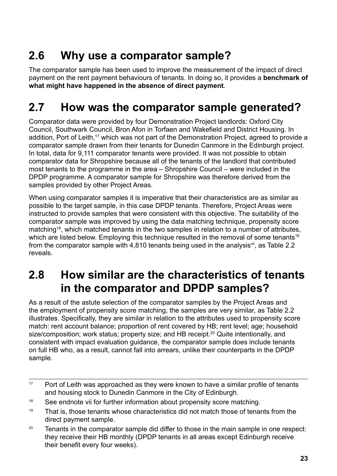## <span id="page-22-0"></span>**2.6 Why use a comparator sample?**

The comparator sample has been used to improve the measurement of the impact of direct payment on the rent payment behaviours of tenants. In doing so, it provides a **benchmark of what might have happened in the absence of direct payment**.

## **2.7 How was the comparator sample generated?**

Comparator data were provided by four Demonstration Project landlords: Oxford City Council, Southwark Council, Bron Afon in Torfaen and Wakefield and District Housing. In addition, Port of Leith,<sup>17</sup> which was not part of the Demonstration Project, agreed to provide a comparator sample drawn from their tenants for Dunedin Canmore in the Edinburgh project. In total, data for 9,111 comparator tenants were provided. It was not possible to obtain comparator data for Shropshire because all of the tenants of the landlord that contributed most tenants to the programme in the area – Shropshire Council – were included in the DPDP programme. A comparator sample for Shropshire was therefore derived from the samples provided by other Project Areas.

When using comparator samples it is imperative that their characteristics are as similar as possible to the target sample, in this case DPDP tenants. Therefore, Project Areas were instructed to provide samples that were consistent with this objective. The suitability of the comparator sample was improved by using the data matching technique, propensity score matching<sup>18</sup>, which matched tenants in the two samples in relation to a number of attributes, which are listed below. Employing this technique resulted in the removal of some tenants<sup>19</sup> from the comparator sample with 4,810 tenants being used in the analysis<sup>vii</sup>, as Table 2.2 reveals.

## **2.8 How similar are the characteristics of tenants in the comparator and DPDP samples?**

As a result of the astute selection of the comparator samples by the Project Areas and the employment of propensity score matching, the samples are very similar, as Table 2.2 illustrates. Specifically, they are similar in relation to the attributes used to propensity score match: rent account balance; proportion of rent covered by HB; rent level; age; household size/composition; work status; property size; and HB receipt.<sup>20</sup> Quite intentionally, and consistent with impact evaluation guidance, the comparator sample does include tenants on full HB who, as a result, cannot fall into arrears, unlike their counterparts in the DPDP sample.

<sup>20</sup> Tenants in the comparator sample did differ to those in the main sample in one respect: they receive their HB monthly (DPDP tenants in all areas except Edinburgh receive their benefit every four weeks).

 $17$  Port of Leith was approached as they were known to have a similar profile of tenants and housing stock to Dunedin Canmore in the City of Edinburgh.

<sup>&</sup>lt;sup>18</sup> See endnote vii for further information about propensity score matching.

 $19$  That is, those tenants whose characteristics did not match those of tenants from the direct payment sample.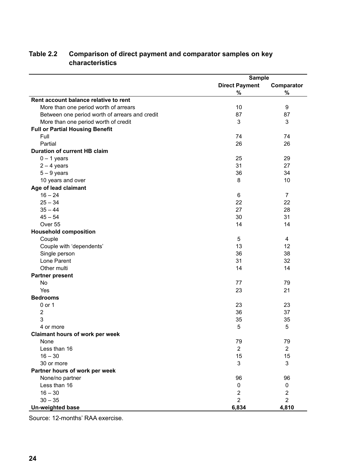|                                                | <b>Sample</b>           |                         |  |
|------------------------------------------------|-------------------------|-------------------------|--|
|                                                | <b>Direct Payment</b>   | Comparator              |  |
|                                                | %                       | %                       |  |
| Rent account balance relative to rent          |                         |                         |  |
| More than one period worth of arrears          | 10                      | 9                       |  |
| Between one period worth of arrears and credit | 87                      | 87                      |  |
| More than one period worth of credit           | 3                       | 3                       |  |
| <b>Full or Partial Housing Benefit</b>         |                         |                         |  |
| Full                                           | 74                      | 74                      |  |
| Partial                                        | 26                      | 26                      |  |
| <b>Duration of current HB claim</b>            |                         |                         |  |
| $0 - 1$ years                                  | 25                      | 29                      |  |
| $2 - 4$ years                                  | 31                      | 27                      |  |
| $5 - 9$ years                                  | 36                      | 34                      |  |
| 10 years and over                              | 8                       | 10                      |  |
| Age of lead claimant                           |                         |                         |  |
| $16 - 24$                                      | 6                       | $\overline{7}$          |  |
| $25 - 34$                                      | 22                      | 22                      |  |
| $35 - 44$                                      | 27                      | 28                      |  |
| $45 - 54$                                      | 30                      | 31                      |  |
| Over 55                                        | 14                      | 14                      |  |
| <b>Household composition</b>                   |                         |                         |  |
| Couple                                         | 5                       | 4                       |  |
| Couple with 'dependents'                       | 13                      | 12                      |  |
| Single person                                  | 36                      | 38                      |  |
| Lone Parent                                    | 31                      | 32                      |  |
| Other multi                                    | 14                      | 14                      |  |
| <b>Partner present</b>                         |                         |                         |  |
| No                                             | 77                      | 79                      |  |
| Yes                                            | 23                      | 21                      |  |
| <b>Bedrooms</b>                                |                         |                         |  |
| 0 or 1                                         | 23                      | 23                      |  |
| 2                                              | 36                      | 37                      |  |
| 3                                              | 35                      | 35                      |  |
| 4 or more                                      | 5                       | 5                       |  |
| <b>Claimant hours of work per week</b>         |                         |                         |  |
| None                                           | 79                      | 79                      |  |
| Less than 16                                   | $\overline{2}$          | $\overline{2}$          |  |
| $16 - 30$                                      | 15                      | 15                      |  |
| 30 or more                                     | 3                       | 3                       |  |
| Partner hours of work per week                 |                         |                         |  |
| None/no partner                                | 96                      | 96                      |  |
| Less than 16                                   | 0                       | 0                       |  |
| $16 - 30$                                      | $\overline{\mathbf{c}}$ | $\overline{\mathbf{c}}$ |  |
| $30 - 35$                                      | $\overline{2}$          | $\overline{2}$          |  |
| Un-weighted base                               | 6,834                   | 4,810                   |  |

### <span id="page-23-0"></span>**Table 2.2 Comparison of direct payment and comparator samples on key characteristics**

Source: 12-months' RAA exercise.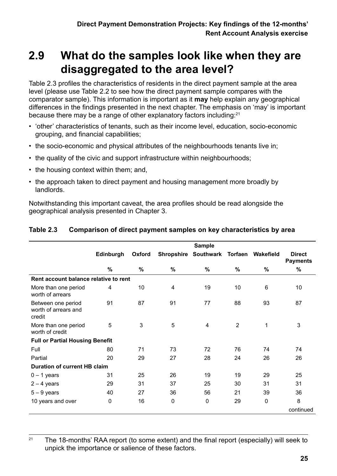## <span id="page-24-0"></span>**2.9 What do the samples look like when they are disaggregated to the area level?**

Table 2.3 profiles the characteristics of residents in the direct payment sample at the area level (please use Table 2.2 to see how the direct payment sample compares with the comparator sample). This information is important as it **may** help explain any geographical differences in the findings presented in the next chapter. The emphasis on 'may' is important because there may be a range of other explanatory factors including:<sup>21</sup>

- 'other' characteristics of tenants, such as their income level, education, socio-economic grouping, and financial capabilities;
- the socio-economic and physical attributes of the neighbourhoods tenants live in;
- the quality of the civic and support infrastructure within neighbourhoods:
- the housing context within them; and,
- the approach taken to direct payment and housing management more broadly by landlords.

Notwithstanding this important caveat, the area profiles should be read alongside the geographical analysis presented in Chapter 3.

| <b>Sample</b>                          |               |                                       |                |                      |             |                                  |
|----------------------------------------|---------------|---------------------------------------|----------------|----------------------|-------------|----------------------------------|
| Edinburgh                              | Oxford        |                                       |                | Torfaen              | Wakefield   | <b>Direct</b><br><b>Payments</b> |
| $\%$                                   | $\frac{9}{6}$ | $\%$                                  | %              | $\%$                 | %           | $\%$                             |
|                                        |               |                                       |                |                      |             |                                  |
| 4                                      | 10            | 4                                     | 19             | 10                   | 6           | 10                               |
| 91                                     | 87            | 91                                    | 77             | 88                   | 93          | 87                               |
| 5                                      | 3             | 5                                     | $\overline{4}$ | $\overline{2}$       | 1           | 3                                |
| <b>Full or Partial Housing Benefit</b> |               |                                       |                |                      |             |                                  |
| 80                                     | 71            | 73                                    | 72             | 76                   | 74          | 74                               |
| 20                                     | 29            | 27                                    | 28             | 24                   | 26          | 26                               |
| <b>Duration of current HB claim</b>    |               |                                       |                |                      |             |                                  |
| 31                                     | 25            | 26                                    | 19             | 19                   | 29          | 25                               |
| 29                                     | 31            | 37                                    | 25             | 30                   | 31          | 31                               |
| 40                                     | 27            | 36                                    | 56             | 21                   | 39          | 36                               |
| $\mathbf 0$                            | 16            | $\mathbf 0$                           | 0              | 29                   | $\mathbf 0$ | 8                                |
|                                        |               |                                       |                |                      |             | continued                        |
|                                        |               | Rent account balance relative to rent |                | Shropshire Southwark |             |                                  |

#### **Table 2.3 Comparison of direct payment samples on key characteristics by area**

<sup>21</sup> The 18-months' RAA report (to some extent) and the final report (especially) will seek to unpick the importance or salience of these factors.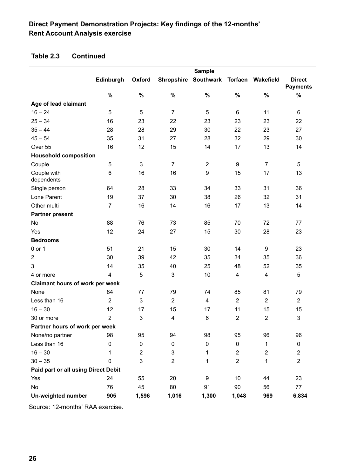### **Direct Payment Demonstration Projects: Key findings of the 12-months' Rent Account Analysis exercise**

#### **Table 2.3 Continued**

|                                     | <b>Sample</b>           |                |                   |                   |                         |                         |                                  |
|-------------------------------------|-------------------------|----------------|-------------------|-------------------|-------------------------|-------------------------|----------------------------------|
|                                     | Edinburgh               | Oxford         | <b>Shropshire</b> | Southwark Torfaen |                         | Wakefield               | <b>Direct</b><br><b>Payments</b> |
|                                     | $\%$                    | $\%$           | $\%$              | $\%$              | $\%$                    | $\%$                    | $\%$                             |
| Age of lead claimant                |                         |                |                   |                   |                         |                         |                                  |
| $16 - 24$                           | 5                       | 5              | $\overline{7}$    | 5                 | 6                       | 11                      | 6                                |
| $25 - 34$                           | 16                      | 23             | 22                | 23                | 23                      | 23                      | 22                               |
| $35 - 44$                           | 28                      | 28             | 29                | 30                | 22                      | 23                      | 27                               |
| $45 - 54$                           | 35                      | 31             | 27                | 28                | 32                      | 29                      | 30                               |
| Over 55                             | 16                      | 12             | 15                | 14                | 17                      | 13                      | 14                               |
| <b>Household composition</b>        |                         |                |                   |                   |                         |                         |                                  |
| Couple                              | 5                       | 3              | $\overline{7}$    | $\overline{2}$    | $\boldsymbol{9}$        | $\overline{7}$          | 5                                |
| Couple with<br>dependents           | 6                       | 16             | 16                | 9                 | 15                      | 17                      | 13                               |
| Single person                       | 64                      | 28             | 33                | 34                | 33                      | 31                      | 36                               |
| Lone Parent                         | 19                      | 37             | 30                | 38                | 26                      | 32                      | 31                               |
| Other multi                         | $\overline{7}$          | 16             | 14                | 16                | 17                      | 13                      | 14                               |
| <b>Partner present</b>              |                         |                |                   |                   |                         |                         |                                  |
| No                                  | 88                      | 76             | 73                | 85                | 70                      | 72                      | 77                               |
| Yes                                 | 12                      | 24             | 27                | 15                | 30                      | 28                      | 23                               |
| <b>Bedrooms</b>                     |                         |                |                   |                   |                         |                         |                                  |
| 0 or 1                              | 51                      | 21             | 15                | 30                | 14                      | 9                       | 23                               |
| $\boldsymbol{2}$                    | 30                      | 39             | 42                | 35                | 34                      | 35                      | 36                               |
| 3                                   | 14                      | 35             | 40                | 25                | 48                      | 52                      | 35                               |
| 4 or more                           | $\overline{\mathbf{4}}$ | 5              | 3                 | 10                | 4                       | 4                       | 5                                |
| Claimant hours of work per week     |                         |                |                   |                   |                         |                         |                                  |
| None                                | 84                      | 77             | 79                | 74                | 85                      | 81                      | 79                               |
| Less than 16                        | $\overline{2}$          | $\mathfrak{S}$ | $\overline{2}$    | 4                 | $\overline{2}$          | $\overline{2}$          | $\overline{2}$                   |
| $16 - 30$                           | 12                      | 17             | 15                | 17                | 11                      | 15                      | 15                               |
| 30 or more                          | $\overline{2}$          | 3              | 4                 | 6                 | 2                       | $\overline{2}$          | 3                                |
| Partner hours of work per week      |                         |                |                   |                   |                         |                         |                                  |
| None/no partner                     | 98                      | 95             | 94                | 98                | 95                      | 96                      | 96                               |
| Less than 16                        | 0                       | 0              | 0                 | $\pmb{0}$         | 0                       | 1                       | $\pmb{0}$                        |
| $16 - 30$                           | 1                       | $\overline{2}$ | 3                 | 1                 | $\overline{\mathbf{c}}$ | $\overline{\mathbf{c}}$ | $\overline{c}$                   |
| $30 - 35$                           | 0                       | 3              | $\overline{2}$    | 1                 | $\overline{2}$          | 1                       | $\overline{2}$                   |
| Paid part or all using Direct Debit |                         |                |                   |                   |                         |                         |                                  |
| Yes                                 | 24                      | 55             | 20                | 9                 | 10                      | 44                      | 23                               |
| No                                  | 76                      | 45             | 80                | 91                | 90                      | 56                      | 77                               |
| Un-weighted number                  | 905                     | 1,596          | 1,016             | 1,300             | 1,048                   | 969                     | 6,834                            |

Source: 12-months' RAA exercise.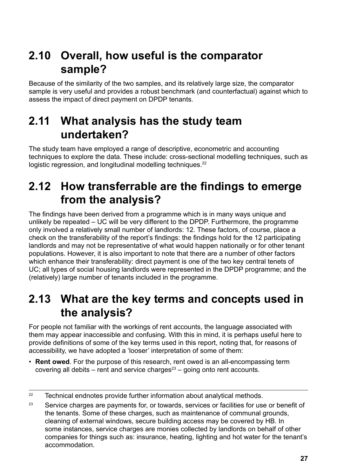## <span id="page-26-0"></span>**2.10 Overall, how useful is the comparator sample?**

Because of the similarity of the two samples, and its relatively large size, the comparator sample is very useful and provides a robust benchmark (and counterfactual) against which to assess the impact of direct payment on DPDP tenants.

## **2.11 What analysis has the study team undertaken?**

The study team have employed a range of descriptive, econometric and accounting techniques to explore the data. These include: cross-sectional modelling techniques, such as logistic regression, and longitudinal modelling techniques.<sup>22</sup>

## **2.12 How transferrable are the findings to emerge from the analysis?**

The findings have been derived from a programme which is in many ways unique and unlikely be repeated – UC will be very different to the DPDP. Furthermore, the programme only involved a relatively small number of landlords: 12. These factors, of course, place a check on the transferability of the report's findings: the findings hold for the 12 participating landlords and may not be representative of what would happen nationally or for other tenant populations. However, it is also important to note that there are a number of other factors which enhance their transferability: direct payment is one of the two key central tenets of UC; all types of social housing landlords were represented in the DPDP programme; and the (relatively) large number of tenants included in the programme.

## **2.13 What are the key terms and concepts used in the analysis?**

For people not familiar with the workings of rent accounts, the language associated with them may appear inaccessible and confusing. With this in mind, it is perhaps useful here to provide definitions of some of the key terms used in this report, noting that, for reasons of accessibility, we have adopted a 'looser' interpretation of some of them:

• **Rent owed**. For the purpose of this research, rent owed is an all-encompassing term covering all debits – rent and service charges $23$  – going onto rent accounts.

 $22$  Technical endnotes provide further information about analytical methods.

<sup>&</sup>lt;sup>23</sup> Service charges are payments for, or towards, services or facilities for use or benefit of the tenants. Some of these charges, such as maintenance of communal grounds, cleaning of external windows, secure building access may be covered by HB. In some instances, service charges are monies collected by landlords on behalf of other companies for things such as: insurance, heating, lighting and hot water for the tenant's accommodation.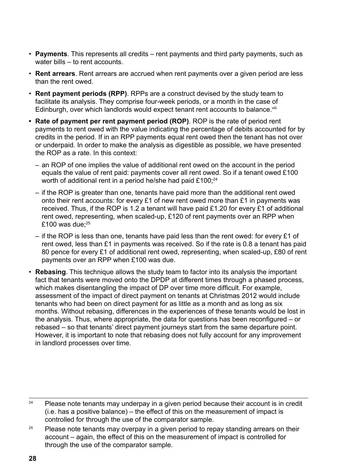- **Payments**. This represents all credits rent payments and third party payments, such as water bills – to rent accounts.
- **Rent arrears**. Rent arrears are accrued when rent payments over a given period are less than the rent owed.
- **Rent payment periods (RPP)**. RPPs are a construct devised by the study team to facilitate its analysis. They comprise four-week periods, or a month in the case of Edinburgh, over which landlords would expect tenant rent accounts to balance.<sup>viii</sup>
- **• Rate of payment per rent payment period (ROP)**. ROP is the rate of period rent payments to rent owed with the value indicating the percentage of debits accounted for by credits in the period. If in an RPP payments equal rent owed then the tenant has not over or underpaid. In order to make the analysis as digestible as possible, we have presented the ROP as a rate. In this context:
	- an ROP of one implies the value of additional rent owed on the account in the period equals the value of rent paid: payments cover all rent owed. So if a tenant owed £100 worth of additional rent in a period he/she had paid  $£100$ ; $^{24}$
	- if the ROP is greater than one, tenants have paid more than the additional rent owed onto their rent accounts: for every £1 of new rent owed more than £1 in payments was received. Thus, if the ROP is 1.2 a tenant will have paid £1.20 for every £1 of additional rent owed, representing, when scaled-up, £120 of rent payments over an RPP when £100 was due: $25$
	- if the ROP is less than one, tenants have paid less than the rent owed: for every £1 of rent owed, less than £1 in payments was received. So if the rate is 0.8 a tenant has paid 80 pence for every £1 of additional rent owed, representing, when scaled-up, £80 of rent payments over an RPP when £100 was due.
- **Rebasing**. This technique allows the study team to factor into its analysis the important fact that tenants were moved onto the DPDP at different times through a phased process, which makes disentangling the impact of DP over time more difficult. For example, assessment of the impact of direct payment on tenants at Christmas 2012 would include tenants who had been on direct payment for as little as a month and as long as six months. Without rebasing, differences in the experiences of these tenants would be lost in the analysis. Thus, where appropriate, the data for questions has been reconfigured – or rebased – so that tenants' direct payment journeys start from the same departure point. However, it is important to note that rebasing does not fully account for any improvement in landlord processes over time.

 $24$  Please note tenants may underpay in a given period because their account is in credit (i.e. has a positive balance) – the effect of this on the measurement of impact is controlled for through the use of the comparator sample.

 $25$  Please note tenants may overpay in a given period to repay standing arrears on their account – again, the effect of this on the measurement of impact is controlled for through the use of the comparator sample.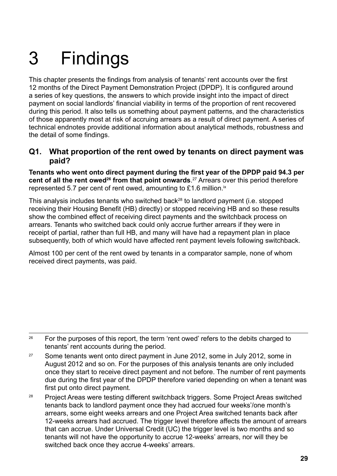# <span id="page-28-0"></span>3 Findings

This chapter presents the findings from analysis of tenants' rent accounts over the first 12 months of the Direct Payment Demonstration Project (DPDP). It is configured around a series of key questions, the answers to which provide insight into the impact of direct payment on social landlords' financial viability in terms of the proportion of rent recovered during this period. It also tells us something about payment patterns, and the characteristics of those apparently most at risk of accruing arrears as a result of direct payment. A series of technical endnotes provide additional information about analytical methods, robustness and the detail of some findings.

#### **Q1. What proportion of the rent owed by tenants on direct payment was paid?**

**Tenants who went onto direct payment during the first year of the DPDP paid 94.3 per cent of all the rent owed<sup>26</sup> from that point onwards**. 27 Arrears over this period therefore represented 5.7 per cent of rent owed, amounting to £1.6 million. $i<sup>x</sup>$ 

This analysis includes tenants who switched back<sup>28</sup> to landlord payment (i.e. stopped receiving their Housing Benefit (HB) directly) or stopped receiving HB and so these results show the combined effect of receiving direct payments and the switchback process on arrears. Tenants who switched back could only accrue further arrears if they were in receipt of partial, rather than full HB, and many will have had a repayment plan in place subsequently, both of which would have affected rent payment levels following switchback.

Almost 100 per cent of the rent owed by tenants in a comparator sample, none of whom received direct payments, was paid.

<sup>&</sup>lt;sup>26</sup> For the purposes of this report, the term 'rent owed' refers to the debits charged to tenants' rent accounts during the period.

<sup>&</sup>lt;sup>27</sup> Some tenants went onto direct payment in June 2012, some in July 2012, some in August 2012 and so on. For the purposes of this analysis tenants are only included once they start to receive direct payment and not before. The number of rent payments due during the first year of the DPDP therefore varied depending on when a tenant was first put onto direct payment.

<sup>&</sup>lt;sup>28</sup> Project Areas were testing different switchback triggers. Some Project Areas switched tenants back to landlord payment once they had accrued four weeks'/one month's arrears, some eight weeks arrears and one Project Area switched tenants back after 12-weeks arrears had accrued. The trigger level therefore affects the amount of arrears that can accrue. Under Universal Credit (UC) the trigger level is two months and so tenants will not have the opportunity to accrue 12-weeks' arrears, nor will they be switched back once they accrue 4-weeks' arrears.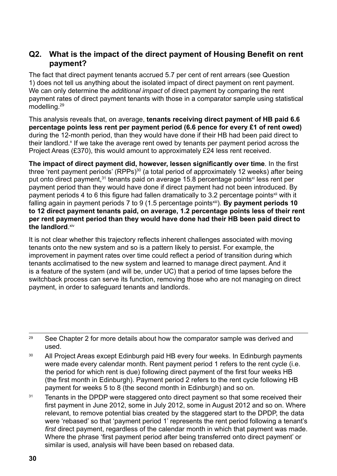#### **Q2. What is the impact of the direct payment of Housing Benefit on rent payment?**

The fact that direct payment tenants accrued 5.7 per cent of rent arrears (see Question 1) does not tell us anything about the isolated impact of direct payment on rent payment. We can only determine the *additional impact* of direct payment by comparing the rent payment rates of direct payment tenants with those in a comparator sample using statistical modelling.29

This analysis reveals that, on average, **tenants receiving direct payment of HB paid 6.6 percentage points less rent per payment period (6.6 pence for every £1 of rent owed)** during the 12-month period, than they would have done if their HB had been paid direct to their landlord.<sup>x</sup> If we take the average rent owed by tenants per payment period across the Project Areas (£370), this would amount to approximately £24 less rent received.

**The impact of direct payment did, however, lessen significantly over time**. In the first three 'rent payment periods' (RPPs)<sup>30</sup> (a total period of approximately 12 weeks) after being put onto direct payment,<sup>31</sup> tenants paid on average 15.8 percentage points<sup>xi</sup> less rent per payment period than they would have done if direct payment had not been introduced. By payment periods 4 to 6 this figure had fallen dramatically to 3.2 percentage points<sup>xii</sup> with it falling again in payment periods 7 to 9 (1.5 percentage points<sup>xiii</sup>). **By payment periods 10 to 12 direct payment tenants paid, on average, 1.2 percentage points less of their rent per rent payment period than they would have done had their HB been paid direct to the landlord**. xiv

It is not clear whether this trajectory reflects inherent challenges associated with moving tenants onto the new system and so is a pattern likely to persist. For example, the improvement in payment rates over time could reflect a period of transition during which tenants acclimatised to the new system and learned to manage direct payment. And it is a feature of the system (and will be, under UC) that a period of time lapses before the switchback process can serve its function, removing those who are not managing on direct payment, in order to safeguard tenants and landlords.

<sup>&</sup>lt;sup>29</sup> See Chapter 2 for more details about how the comparator sample was derived and used.

<sup>&</sup>lt;sup>30</sup> All Project Areas except Edinburgh paid HB every four weeks. In Edinburgh payments were made every calendar month. Rent payment period 1 refers to the rent cycle (i.e. the period for which rent is due) following direct payment of the first four weeks HB (the first month in Edinburgh). Payment period 2 refers to the rent cycle following HB payment for weeks 5 to 8 (the second month in Edinburgh) and so on.

<sup>&</sup>lt;sup>31</sup> Tenants in the DPDP were staggered onto direct payment so that some received their first payment in June 2012, some in July 2012, some in August 2012 and so on. Where relevant, to remove potential bias created by the staggered start to the DPDP, the data were 'rebased' so that 'payment period 1' represents the rent period following a tenant's *first* direct payment, regardless of the calendar month in which that payment was made. Where the phrase 'first payment period after being transferred onto direct payment' or similar is used, analysis will have been based on rebased data.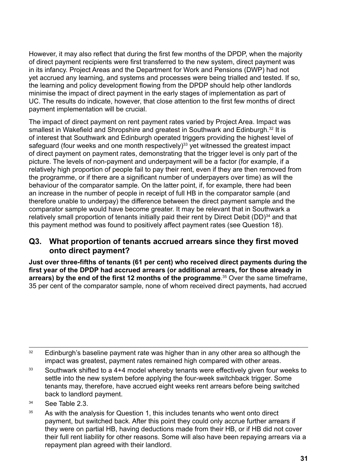However, it may also reflect that during the first few months of the DPDP, when the majority of direct payment recipients were first transferred to the new system, direct payment was in its infancy. Project Areas and the Department for Work and Pensions (DWP) had not yet accrued any learning, and systems and processes were being trialled and tested. If so, the learning and policy development flowing from the DPDP should help other landlords minimise the impact of direct payment in the early stages of implementation as part of UC. The results do indicate, however, that close attention to the first few months of direct payment implementation will be crucial.

The impact of direct payment on rent payment rates varied by Project Area. Impact was smallest in Wakefield and Shropshire and greatest in Southwark and Edinburgh.<sup>32</sup> It is of interest that Southwark and Edinburgh operated triggers providing the highest level of safeguard (four weeks and one month respectively)<sup>33</sup> yet witnessed the greatest impact of direct payment on payment rates, demonstrating that the trigger level is only part of the picture. The levels of non-payment and underpayment will be a factor (for example, if a relatively high proportion of people fail to pay their rent, even if they are then removed from the programme, or if there are a significant number of underpayers over time) as will the behaviour of the comparator sample. On the latter point, if, for example, there had been an increase in the number of people in receipt of full HB in the comparator sample (and therefore unable to underpay) the difference between the direct payment sample and the comparator sample would have become greater. It may be relevant that in Southwark a relatively small proportion of tenants initially paid their rent by Direct Debit (DD)<sup>34</sup> and that this payment method was found to positively affect payment rates (see Question 18).

#### **Q3. What proportion of tenants accrued arrears since they first moved onto direct payment?**

**Just over three-fifths of tenants (61 per cent) who received direct payments during the first year of the DPDP had accrued arrears (or additional arrears, for those already in arrears) by the end of the first 12 months of the programme**. 35 Over the same timeframe, 35 per cent of the comparator sample, none of whom received direct payments, had accrued

<sup>35</sup> As with the analysis for Question 1, this includes tenants who went onto direct payment, but switched back. After this point they could only accrue further arrears if they were on partial HB, having deductions made from their HB, or if HB did not cover their full rent liability for other reasons. Some will also have been repaying arrears via a repayment plan agreed with their landlord.

 $32$  Edinburgh's baseline payment rate was higher than in any other area so although the impact was greatest, payment rates remained high compared with other areas.

 $33$  Southwark shifted to a 4+4 model whereby tenants were effectively given four weeks to settle into the new system before applying the four-week switchback trigger. Some tenants may, therefore, have accrued eight weeks rent arrears before being switched back to landlord payment.

<sup>34</sup> See Table 2.3.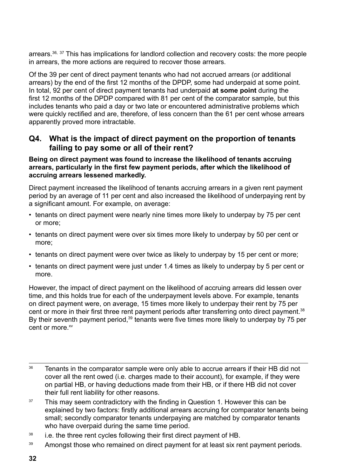arrears.<sup>36, 37</sup> This has implications for landlord collection and recovery costs: the more people in arrears, the more actions are required to recover those arrears.

Of the 39 per cent of direct payment tenants who had not accrued arrears (or additional arrears) by the end of the first 12 months of the DPDP, some had underpaid at some point. In total, 92 per cent of direct payment tenants had underpaid **at some point** during the first 12 months of the DPDP compared with 81 per cent of the comparator sample, but this includes tenants who paid a day or two late or encountered administrative problems which were quickly rectified and are, therefore, of less concern than the 61 per cent whose arrears apparently proved more intractable.

#### **Q4. What is the impact of direct payment on the proportion of tenants failing to pay some or all of their rent?**

#### **Being on direct payment was found to increase the likelihood of tenants accruing arrears, particularly in the first few payment periods, after which the likelihood of accruing arrears lessened markedly.**

Direct payment increased the likelihood of tenants accruing arrears in a given rent payment period by an average of 11 per cent and also increased the likelihood of underpaying rent by a significant amount. For example, on average:

- tenants on direct payment were nearly nine times more likely to underpay by 75 per cent or more;
- tenants on direct payment were over six times more likely to underpay by 50 per cent or more;
- tenants on direct payment were over twice as likely to underpay by 15 per cent or more;
- tenants on direct payment were just under 1.4 times as likely to underpay by 5 per cent or more.

However, the impact of direct payment on the likelihood of accruing arrears did lessen over time, and this holds true for each of the underpayment levels above. For example, tenants on direct payment were, on average, 15 times more likely to underpay their rent by 75 per cent or more in their first three rent payment periods after transferring onto direct payment.<sup>38</sup> By their seventh payment period,<sup>39</sup> tenants were five times more likely to underpay by 75 per cent or more. $xv$ 

- $37$  This may seem contradictory with the finding in Question 1. However this can be explained by two factors: firstly additional arrears accruing for comparator tenants being small; secondly comparator tenants underpaying are matched by comparator tenants who have overpaid during the same time period.
- <sup>38</sup> i.e. the three rent cycles following their first direct payment of HB.

<sup>&</sup>lt;sup>36</sup> Tenants in the comparator sample were only able to accrue arrears if their HB did not cover all the rent owed (i.e. charges made to their account), for example, if they were on partial HB, or having deductions made from their HB, or if there HB did not cover their full rent liability for other reasons.

<sup>&</sup>lt;sup>39</sup> Amongst those who remained on direct payment for at least six rent payment periods.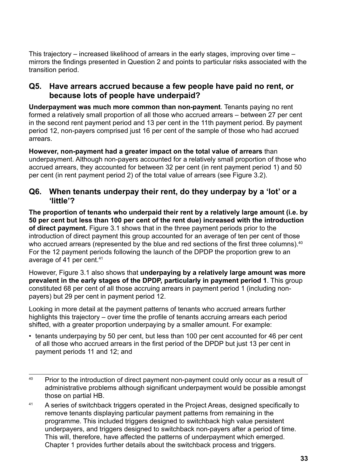This trajectory – increased likelihood of arrears in the early stages, improving over time – mirrors the findings presented in Question 2 and points to particular risks associated with the transition period.

#### **Q5. Have arrears accrued because a few people have paid no rent, or because lots of people have underpaid?**

**Underpayment was much more common than non-payment**. Tenants paying no rent formed a relatively small proportion of all those who accrued arrears – between 27 per cent in the second rent payment period and 13 per cent in the 11th payment period. By payment period 12, non-payers comprised just 16 per cent of the sample of those who had accrued arrears.

**However, non-payment had a greater impact on the total value of arrears** than underpayment. Although non-payers accounted for a relatively small proportion of those who accrued arrears, they accounted for between 32 per cent (in rent payment period 1) and 50 per cent (in rent payment period 2) of the total value of arrears (see Figure 3.2).

#### **Q6. When tenants underpay their rent, do they underpay by a 'lot' or a 'little'?**

**The proportion of tenants who underpaid their rent by a relatively large amount (i.e. by 50 per cent but less than 100 per cent of the rent due) increased with the introduction of direct payment.** Figure 3.1 shows that in the three payment periods prior to the introduction of direct payment this group accounted for an average of ten per cent of those who accrued arrears (represented by the blue and red sections of the first three columns).<sup>40</sup> For the 12 payment periods following the launch of the DPDP the proportion grew to an average of 41 per cent.<sup>41</sup>

However, Figure 3.1 also shows that **underpaying by a relatively large amount was more prevalent in the early stages of the DPDP, particularly in payment period 1**. This group constituted 68 per cent of all those accruing arrears in payment period 1 (including nonpayers) but 29 per cent in payment period 12.

Looking in more detail at the payment patterns of tenants who accrued arrears further highlights this trajectory – over time the profile of tenants accruing arrears each period shifted, with a greater proportion underpaying by a smaller amount. For example:

- tenants underpaying by 50 per cent, but less than 100 per cent accounted for 46 per cent of all those who accrued arrears in the first period of the DPDP but just 13 per cent in payment periods 11 and 12; and
- <sup>40</sup> Prior to the introduction of direct payment non-payment could only occur as a result of administrative problems although significant underpayment would be possible amongst those on partial HB.
- <sup>41</sup> A series of switchback triggers operated in the Project Areas, designed specifically to remove tenants displaying particular payment patterns from remaining in the programme. This included triggers designed to switchback high value persistent underpayers, and triggers designed to switchback non-payers after a period of time. This will, therefore, have affected the patterns of underpayment which emerged. Chapter 1 provides further details about the switchback process and triggers.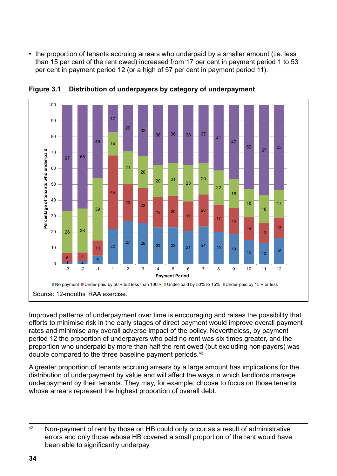• the proportion of tenants accruing arrears who underpaid by a smaller amount (i.e. less than 15 per cent of the rent owed) increased from 17 per cent in payment period 1 to 53 per cent in payment period 12 (or a high of 57 per cent in payment period 11).



**Figure 3.1 Distribution of underpayers by category of underpayment Figure 3.1: Distribution of underpayers by category of underpayment** 

Improved patterns of underpayment over time is encouraging and raises the possibility that Improved patterns of underpayment over time is encouraging and raises the efforts to minimise risk in the early stages of direct payment would improve overall payment rates and minimise any overall adverse impact of the policy. Nevertheless, by payment period 12 the proportion of underpayers who paid no rent was six times greater, and the ported in the proportion of anderpayord through the rent was one annough stater, and the proportion who underpaid by more than half the rent owed (but excluding non-payers) was double compared to the three baseline payment periods.<sup>42</sup>  $\frac{1}{2}$  or non-vertex direct paid by those than than the term oved (but excluding non-pay

A greater proportion of tenants accruing arrears by a large amount has implications for the A greater proportion of tenants accruing arrears by a large amount has implications for the<br>distribution of underpayment by value and will affect the ways in which landlords manage underpayment by their tenants. They may, for example, choose to focus on those tenants whose arrears represent the highest proportion of overall debt. for the distribution of underpayment by value and will affect the ways in which languolus is derpayment by their tenants. They may, for example, choose to locus on those

although non-payers were smaller in number, **non-payment had a more significant** 

<sup>&</sup>lt;sup>42</sup> Non-payment of rent by those on HB could only occur as a result of administrative errors and only those whose HB covered a small proportion of the rent would have been able to significantly underpay.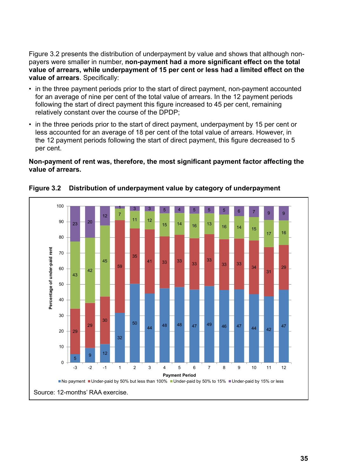Figure 3.2 presents the distribution of underpayment by value and shows that although nonpayers were smaller in number, **non-payment had a more significant effect on the total value of arrears, while underpayment of 15 per cent or less had a limited effect on the value of arrears**. Specifically:

- in the three payment periods prior to the start of direct payment, non-payment accounted for an average of nine per cent of the total value of arrears. In the 12 payment periods following the start of direct payment this figure increased to 45 per cent, remaining relatively constant over the course of the DPDP;<br>metallied for an average of the total value of the total value of the 12 minutes payment periods following the start of direct payment the start of direct payment that  $\frac{1}{2}$
- in the three periods prior to the start of direct payment, underpayment by 15 per cent or less accounted for an average of 18 per cent of the total value of arrears. However, in the 12 payment periods following the start of direct payment, this figure decreased to 5 per cent. three periods prior to the start of direct payment, underpaymen is accounted for an average or to per cent or the total value or arrears. However, the start of direct payment c payment penous ionowing the start or unect payment, this iigure decreased.  $H$  and  $I$  payment periods following the start of direct payment periods for direct payment, this payment, this payment, this payment  $I$

#### **Non-payment of rent was, therefore, the most significant payment factor affecting the value of arrears.** The most significant payment of  $\overline{a}$  is significant payment of  $\overline{a}$  is significant payment of  $\overline{a}$  is significant payment of  $\overline{a}$  is significant payment of  $\overline{a}$  is significant paymen  $f_{\text{max}}$  and  $f_{\text{max}}$  figure decreases the  $\frac{f_{\text{max}}}{f_{\text{max}}}$



**Figure 3.2 Distribution of underpayment value by category of underpayment Figure 3.2: Distribution of underpayment value by category of underpayment**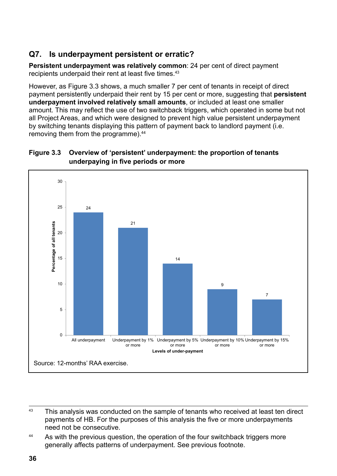## **Q7. Is underpayment persistent or erratic?**

**Persistent underpayment was relatively common**: 24 per cent of direct payment recipients underpaid their rent at least five times.<sup>43</sup>

However, as Figure 3.3 shows, a much smaller 7 per cent of tenants in receipt of direct payment persistently underpaid their rent by 15 per cent or more, suggesting that **persistent underpayment involved relatively small amounts**, or included at least one smaller amount. This may reflect the use of two switchback triggers, which operated in some but not all Project Areas, and which were designed to prevent high value persistent underpayment by switching tenants displaying this pattern of payment back to landlord payment (i.e. removing them from the programme).<sup>44</sup>  $\omega$  is the programment by switching tenants displaying tensor  $\omega$ 

#### **Figure 3.3 Overview of 'persistent' underpayment: the proportion of tenants underpaying in five periods or more**



 $43$  This analysis was conducted on the sample of tenants who received at least ten direct payments of HB. For the purposes of this analysis the five or more underpayments hed not be consecutive. reasons why, month on month on month, a relatively high proportion of the pay all to pay all the pay all to pay

nearly one-quarter of direct payment tenants habitually underpaid. The reasons for

<sup>&</sup>lt;sup>44</sup> As with the previous question, the operation of the four switchback triggers more generally affects patterns of underpayment. See previous footnote.  $\mathsf{S}% _{T}=\mathsf{S}_{T}\!\left( \mathcal{S}_{T}\right) ,$  with th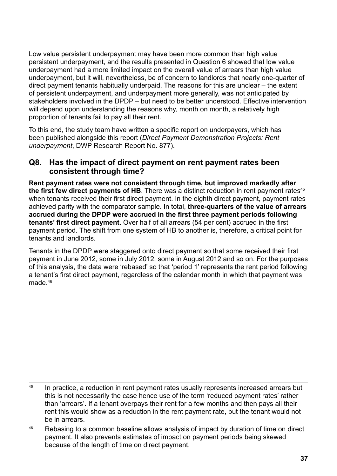Low value persistent underpayment may have been more common than high value persistent underpayment, and the results presented in Question 6 showed that low value underpayment had a more limited impact on the overall value of arrears than high value underpayment, but it will, nevertheless, be of concern to landlords that nearly one-quarter of direct payment tenants habitually underpaid. The reasons for this are unclear – the extent of persistent underpayment, and underpayment more generally, was not anticipated by stakeholders involved in the DPDP – but need to be better understood. Effective intervention will depend upon understanding the reasons why, month on month, a relatively high proportion of tenants fail to pay all their rent.

To this end, the study team have written a specific report on underpayers, which has been published alongside this report (*Direct Payment Demonstration Projects: Rent underpayment*, DWP Research Report No. 877).

#### **Q8. Has the impact of direct payment on rent payment rates been consistent through time?**

**Rent payment rates were not consistent through time, but improved markedly after the first few direct payments of HB**. There was a distinct reduction in rent payment rates<sup>45</sup> when tenants received their first direct payment. In the eighth direct payment, payment rates achieved parity with the comparator sample. In total, **three-quarters of the value of arrears accrued during the DPDP were accrued in the first three payment periods following tenants' first direct payment**. Over half of all arrears (54 per cent) accrued in the first payment period. The shift from one system of HB to another is, therefore, a critical point for tenants and landlords.

Tenants in the DPDP were staggered onto direct payment so that some received their first payment in June 2012, some in July 2012, some in August 2012 and so on. For the purposes of this analysis, the data were 'rebased' so that 'period 1' represents the rent period following a tenant's first direct payment, regardless of the calendar month in which that payment was made.<sup>46</sup>

<sup>&</sup>lt;sup>45</sup> In practice, a reduction in rent payment rates usually represents increased arrears but this is not necessarily the case hence use of the term 'reduced payment rates' rather than 'arrears'. If a tenant overpays their rent for a few months and then pays all their rent this would show as a reduction in the rent payment rate, but the tenant would not be in arrears.

<sup>&</sup>lt;sup>46</sup> Rebasing to a common baseline allows analysis of impact by duration of time on direct payment. It also prevents estimates of impact on payment periods being skewed because of the length of time on direct payment.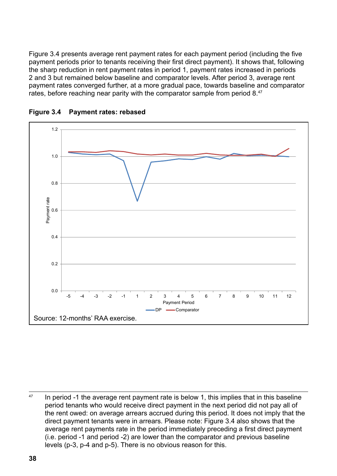Figure 3.4 presents average rent payment rates for each payment period (including the five payment periods prior to tenants receiving their first direct payment). It shows that, following the sharp reduction in rent payment rates in period 1, payment rates increased in periods 2 and 3 but remained below baseline and comparator levels. After period 3, average rent payment rates converged further, at a more gradual pace, towards baseline and comparator rates, before reaching near parity with the comparator sample from period 8.<sup>47</sup>



**Figure 3.4 Payment rates: rebased**

 $47$  In period -1 the average rent payment rate is below 1, this implies that in this baseline period tenants who would receive direct payment in the next period did not pay all of the rent owed: on average arrears accrued during this period. It does not imply that the direct payment tenants were in arrears. Please note: Figure 3.4 also shows that the average rent payments rate in the period immediately preceding a first direct payment (i.e. period -1 and period -2) are lower than the comparator and previous baseline  $\frac{1}{2}$ levels (p-3, p-4 and p-5). There is no obvious reason for this.

bank account numbers (incorrectly provided by the tenant and or incorrectly provided by the tenant and or incorrectly  $\mathcal{L}_\mathcal{A}$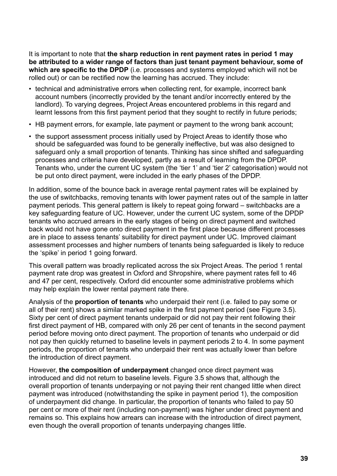It is important to note that **the sharp reduction in rent payment rates in period 1 may be attributed to a wider range of factors than just tenant payment behaviour, some of which are specific to the DPDP** (i.e. processes and systems employed which will not be rolled out) or can be rectified now the learning has accrued. They include:

- technical and administrative errors when collecting rent, for example, incorrect bank account numbers (incorrectly provided by the tenant and/or incorrectly entered by the landlord). To varying degrees, Project Areas encountered problems in this regard and learnt lessons from this first payment period that they sought to rectify in future periods;
- HB payment errors, for example, late payment or payment to the wrong bank account;
- the support assessment process initially used by Project Areas to identify those who should be safeguarded was found to be generally ineffective, but was also designed to safeguard only a small proportion of tenants. Thinking has since shifted and safeguarding processes and criteria have developed, partly as a result of learning from the DPDP. Tenants who, under the current UC system (the 'tier 1' and 'tier 2' categorisation) would not be put onto direct payment, were included in the early phases of the DPDP.

In addition, some of the bounce back in average rental payment rates will be explained by the use of switchbacks, removing tenants with lower payment rates out of the sample in latter payment periods. This general pattern is likely to repeat going forward – switchbacks are a key safeguarding feature of UC. However, under the current UC system, some of the DPDP tenants who accrued arrears in the early stages of being on direct payment and switched back would not have gone onto direct payment in the first place because different processes are in place to assess tenants' suitability for direct payment under UC. Improved claimant assessment processes and higher numbers of tenants being safeguarded is likely to reduce the 'spike' in period 1 going forward.

This overall pattern was broadly replicated across the six Project Areas. The period 1 rental payment rate drop was greatest in Oxford and Shropshire, where payment rates fell to 46 and 47 per cent, respectively. Oxford did encounter some administrative problems which may help explain the lower rental payment rate there.

Analysis of the **proportion of tenants** who underpaid their rent (i.e. failed to pay some or all of their rent) shows a similar marked spike in the first payment period (see Figure 3.5). Sixty per cent of direct payment tenants underpaid or did not pay their rent following their first direct payment of HB, compared with only 26 per cent of tenants in the second payment period before moving onto direct payment. The proportion of tenants who underpaid or did not pay then quickly returned to baseline levels in payment periods 2 to 4. In some payment periods, the proportion of tenants who underpaid their rent was actually lower than before the introduction of direct payment.

However, **the composition of underpayment** changed once direct payment was introduced and did not return to baseline levels. Figure 3.5 shows that, although the overall proportion of tenants underpaying or not paying their rent changed little when direct payment was introduced (notwithstanding the spike in payment period 1), the composition of underpayment did change. In particular, the proportion of tenants who failed to pay 50 per cent or more of their rent (including non-payment) was higher under direct payment and remains so. This explains how arrears can increase with the introduction of direct payment, even though the overall proportion of tenants underpaying changes little.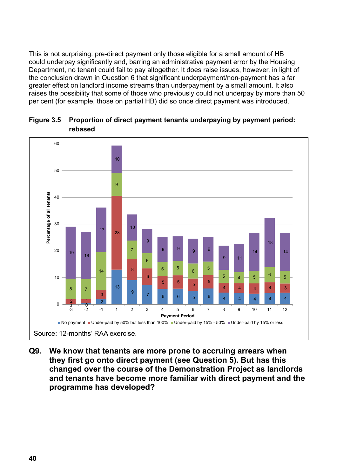This is not surprising: pre-direct payment only those eligible for a small amount of HB could underpay significantly and, barring an administrative payment error by the Housing Department, no tenant could fail to pay altogether. It does raise issues, however, in light of the conclusion drawn in Question 6 that significant underpayment/non-payment has a far greater effect on landlord income streams than underpayment by a small amount. It also raises the possibility that some of those who previously could not underpay by more than 50 per cent (for example, those on partial HB) did so once direct payment was introduced.



**Figure 3.5 Proportion of direct payment tenants underpaying by payment period: Figure 3.5: Proportion of direct payment tenants underpaying by payment rebased period: rebased** 

**Q9. W e know that tenants are more prone to accruing arrears when**  they first go onto direct payment (see Question 5). But has this **changed over the course of the Demonstration Project as landlords and tenants have become more familiar with direct payment and the become more familiar with direct payment and the programme has programme has developed? developed? go onto direct payment (see Question 5). But has this changed over the course of the Demonstration Project as landlords and tenants have**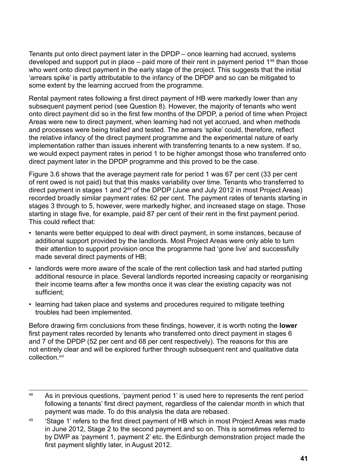Tenants put onto direct payment later in the DPDP – once learning had accrued, systems developed and support put in place – paid more of their rent in payment period  $1^{48}$  than those who went onto direct payment in the early stage of the project. This suggests that the initial 'arrears spike' is partly attributable to the infancy of the DPDP and so can be mitigated to some extent by the learning accrued from the programme.

Rental payment rates following a first direct payment of HB were markedly lower than any subsequent payment period (see Question 8). However, the majority of tenants who went onto direct payment did so in the first few months of the DPDP, a period of time when Project Areas were new to direct payment, when learning had not yet accrued, and when methods and processes were being trialled and tested. The arrears 'spike' could, therefore, reflect the relative infancy of the direct payment programme and the experimental nature of early implementation rather than issues inherent with transferring tenants to a new system. If so, we would expect payment rates in period 1 to be higher amongst those who transferred onto direct payment later in the DPDP programme and this proved to be the case.

Figure 3.6 shows that the average payment rate for period 1 was 67 per cent (33 per cent of rent owed is not paid) but that this masks variability over time. Tenants who transferred to direct payment in stages 1 and 249 of the DPDP (June and July 2012 in most Project Areas) recorded broadly similar payment rates: 62 per cent. The payment rates of tenants starting in stages 3 through to 5, however, were markedly higher, and increased stage on stage. Those starting in stage five, for example, paid 87 per cent of their rent in the first payment period. This could reflect that:

- tenants were better equipped to deal with direct payment, in some instances, because of additional support provided by the landlords. Most Project Areas were only able to turn their attention to support provision once the programme had 'gone live' and successfully made several direct payments of HB;
- landlords were more aware of the scale of the rent collection task and had started putting additional resource in place. Several landlords reported increasing capacity or reorganising their income teams after a few months once it was clear the existing capacity was not sufficient;
- learning had taken place and systems and procedures required to mitigate teething troubles had been implemented.

Before drawing firm conclusions from these findings, however, it is worth noting the **lower** first payment rates recorded by tenants who transferred onto direct payment in stages 6 and 7 of the DPDP (52 per cent and 68 per cent respectively). The reasons for this are not entirely clear and will be explored further through subsequent rent and qualitative data collection.<sup>xvi</sup>

<sup>&</sup>lt;sup>48</sup> As in previous questions, 'payment period 1' is used here to represents the rent period following a tenants' first direct payment, regardless of the calendar month in which that payment was made. To do this analysis the data are rebased.

<sup>&</sup>lt;sup>49</sup> 'Stage 1' refers to the first direct payment of HB which in most Project Areas was made in June 2012, Stage 2 to the second payment and so on. This is sometimes referred to by DWP as 'payment 1, payment 2' etc. the Edinburgh demonstration project made the first payment slightly later, in August 2012.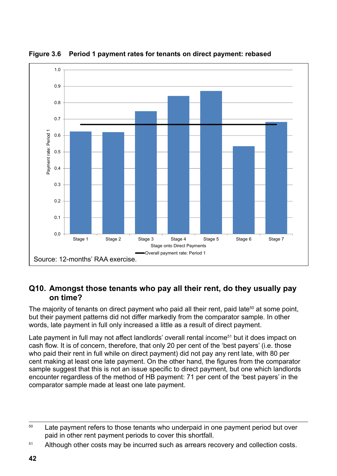

**Figure 3.6 Period 1 payment rates for tenants on direct payment: rebased Figure 3.6: Period 1 payment rates for tenants on direct payment; rebased** 

### **Q10. Amongst those tenants who pay all their rent, do they usually pay on time? time?**

The majority of tenants on direct payment who paid all their rent, paid late<sup>50</sup> at some point, but their payment patterns did not differ markedly from the comparator sample. In other words, late payment in full only increased a little as a result of direct payment. result of direct payment.

Late payment in full may not affect landlords' overall rental income<sup>51</sup> but it does impact on cash flow. It is of concern, therefore, that only 20 per cent of the 'best payers' (i.e. those who paid their rent in full while on direct payment) did not pay any rent late, with 80 per ent making at least one late payment. On the other hand, the figures from the comparator sample suggest that this is not an issue specific to direct payment, but one which landlords sample suggest that this is not an issue specific to direct payment, but one which randicles<br>encounter regardless of the method of HB payment: 71 per cent of the 'best payers' in the comparator sample made at least one late payment. painer regardless of the method of HB payment.  $r$  i per cent of the best payers

<sup>&</sup>lt;sup>50</sup> Late payment refers to those tenants who underpaid in one payment period but over paid in other rent payment periods to cover this shortfall. other benefits such as JSA or Child Benefit. The capacity to juggle income sources

<sup>51</sup> Although other costs may be incurred such as arrears recovery and collection costs.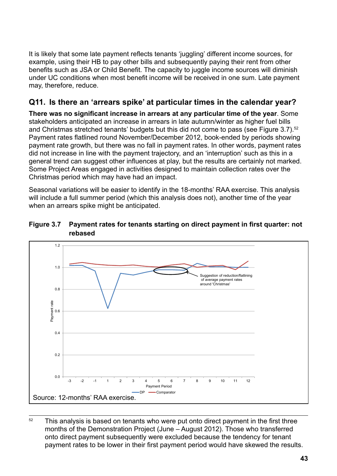It is likely that some late payment reflects tenants 'juggling' different income sources, for example, using their HB to pay other bills and subsequently paying their rent from other benefits such as JSA or Child Benefit. The capacity to juggle income sources will diminish under UC conditions when most benefit income will be received in one sum. Late payment may, therefore, reduce.

### Q11. Is there an 'arrears spike' at particular times in the calendar year?

There was no significant increase in arrears at any particular time of the year. Some stakeholders anticipated an increase in arrears in late autumn/winter as higher fuel bills and Christmas stretched tenants' budgets but this did not come to pass (see Figure 3.7).<sup>52</sup> Payment rates flatlined round November/December 2012, book-ended by periods showing payment rate growth, but there was no fall in payment rates. In other words, payment rates payment rate growth, but there was no fail in payment rates. In other words, payment rate did not increase in line with the payment trajectory, and an 'interruption' such as this in a general trend can suggest other influences at play, but the results are certainly not marked. Some Project Areas engaged in activities designed to maintain collection rates over the Come inspect a capages in addition according to maintain conceasion.<br>Christmas period which may have had an impact. Fincrease in line with the payment trajectory, and an 'interruption'  ${\bf s}$ has penod which may have had an impact.

Seasonal variations will be easier to identify in the 18-months' RAA exercise. This analysis will include a full summer period (which this analysis does not), another time of the year when an arrears spike might be anticipated. nai varia an arroard opinc ringin be annopated.





 $52$  This analysis is based on tenants who were put onto direct payment in the first three months of the Demonstration Project (June – August 2012). Those who transferred onto direct payment subsequently were excluded because the tendency for tenant payment rates to be lower in their first payment period would have skewed the results. exclude the tenant payment babbed acting fronc excluded because the tenant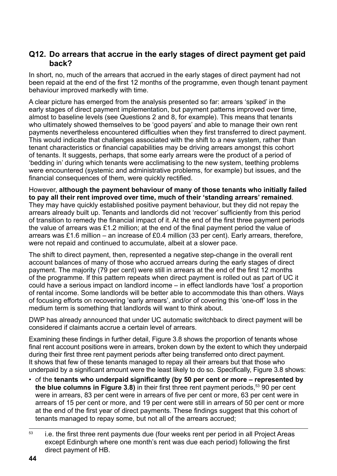#### **Q12. Do arrears that accrue in the early stages of direct payment get paid back?**

In short, no, much of the arrears that accrued in the early stages of direct payment had not been repaid at the end of the first 12 months of the programme, even though tenant payment behaviour improved markedly with time.

A clear picture has emerged from the analysis presented so far: arrears 'spiked' in the early stages of direct payment implementation, but payment patterns improved over time, almost to baseline levels (see Questions 2 and 8, for example). This means that tenants who ultimately showed themselves to be 'good payers' and able to manage their own rent payments nevertheless encountered difficulties when they first transferred to direct payment. This would indicate that challenges associated with the shift to a new system, rather than tenant characteristics or financial capabilities may be driving arrears amongst this cohort of tenants. It suggests, perhaps, that some early arrears were the product of a period of 'bedding in' during which tenants were acclimatising to the new system, teething problems were encountered (systemic and administrative problems, for example) but issues, and the financial consequences of them, were quickly rectified.

However, **although the payment behaviour of many of those tenants who initially failed to pay all their rent improved over time, much of their 'standing arrears' remained**. They may have quickly established positive payment behaviour, but they did not repay the arrears already built up. Tenants and landlords did not 'recover' sufficiently from this period of transition to remedy the financial impact of it. At the end of the first three payment periods the value of arrears was £1.2 million; at the end of the final payment period the value of arrears was £1.6 million – an increase of £0.4 million (33 per cent). Early arrears, therefore, were not repaid and continued to accumulate, albeit at a slower pace.

The shift to direct payment, then, represented a negative step-change in the overall rent account balances of many of those who accrued arrears during the early stages of direct payment. The majority (79 per cent) were still in arrears at the end of the first 12 months of the programme. If this pattern repeats when direct payment is rolled out as part of UC it could have a serious impact on landlord income – in effect landlords have 'lost' a proportion of rental income. Some landlords will be better able to accommodate this than others. Ways of focusing efforts on recovering 'early arrears', and/or of covering this 'one-off' loss in the medium term is something that landlords will want to think about.

DWP has already announced that under UC automatic switchback to direct payment will be considered if claimants accrue a certain level of arrears.

Examining these findings in further detail, Figure 3.8 shows the proportion of tenants whose final rent account positions were in arrears, broken down by the extent to which they underpaid during their first three rent payment periods after being transferred onto direct payment. It shows that few of these tenants managed to repay all their arrears but that those who underpaid by a significant amount were the least likely to do so. Specifically, Figure 3.8 shows:

• of the **tenants who underpaid significantly (by 50 per cent or more – represented by the blue columns in Figure 3.8)** in their first three rent payment periods.<sup>53</sup> 90 per cent were in arrears, 83 per cent were in arrears of five per cent or more, 63 per cent were in arrears of 15 per cent or more, and 19 per cent were still in arrears of 50 per cent or more at the end of the first year of direct payments. These findings suggest that this cohort of tenants managed to repay some, but not all of the arrears accrued;

<sup>&</sup>lt;sup>53</sup> i.e. the first three rent payments due (four weeks rent per period in all Project Areas except Edinburgh where one month's rent was due each period) following the first direct payment of HB.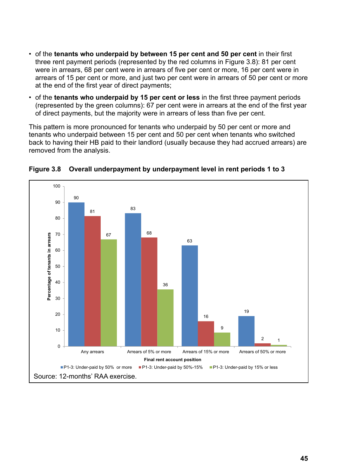- of the tenants who underpaid by between 15 per cent and 50 per cent in their first three rent payment periods (represented by the red columns in Figure 3.8): 81 per cent were in arrears, 68 per cent were in arrears of five per cent or more, 16 per cent were in arrears of 15 per cent or more, and just two per cent were in arrears of 50 per cent or more at the end of the first year of direct payments; and of the mot year of direct payments,
- of the **tenants who underpaid by 15 per cent or less** in the first three payment periods **of the first** (represented by the green columns): 67 per cent were in arrears at the end of the first year of direct payments, but the majority were in arrears of less than five per cent.

This pattern is more pronounced for tenants who underpaid by 50 per cent or more and tenants who underpaid between 15 per cent and 50 per cent when tenants who switched back to having their HB paid to their landlord (usually because they had accrued arrears) are removed from the analysis. The state theories the to having the state theories they had to the whole they had to the whole they had to the whole they had to the whole they had to the whole they had to the whole they had to  $t_{\rm eff}$  per cent.



### **Figure 3.8 Overall underpayment by underpayment level in rent periods 1 to 3 Figure 3.8: Overall underpayment by underpayment level in rent periods 1 to 3**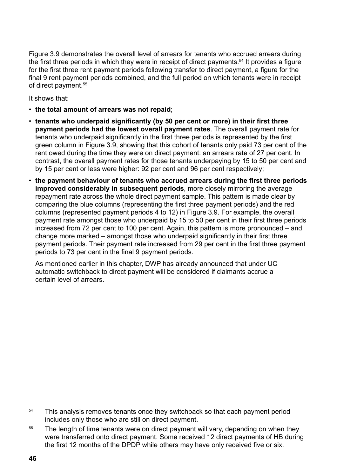Figure 3.9 demonstrates the overall level of arrears for tenants who accrued arrears during the first three periods in which they were in receipt of direct payments.<sup>54</sup> It provides a figure for the first three rent payment periods following transfer to direct payment, a figure for the final 9 rent payment periods combined, and the full period on which tenants were in receipt of direct payment.<sup>55</sup>

It shows that:

- **the total amount of arrears was not repaid**;
- **tenants who underpaid significantly (by 50 per cent or more) in their first three payment periods had the lowest overall payment rates**. The overall payment rate for tenants who underpaid significantly in the first three periods is represented by the first green column in Figure 3.9, showing that this cohort of tenants only paid 73 per cent of the rent owed during the time they were on direct payment: an arrears rate of 27 per cent. In contrast, the overall payment rates for those tenants underpaying by 15 to 50 per cent and by 15 per cent or less were higher: 92 per cent and 96 per cent respectively;
- **the payment behaviour of tenants who accrued arrears during the first three periods improved considerably in subsequent periods**, more closely mirroring the average repayment rate across the whole direct payment sample. This pattern is made clear by comparing the blue columns (representing the first three payment periods) and the red columns (represented payment periods 4 to 12) in Figure 3.9. For example, the overall payment rate amongst those who underpaid by 15 to 50 per cent in their first three periods increased from 72 per cent to 100 per cent. Again, this pattern is more pronounced – and change more marked – amongst those who underpaid significantly in their first three payment periods. Their payment rate increased from 29 per cent in the first three payment periods to 73 per cent in the final 9 payment periods.

As mentioned earlier in this chapter, DWP has already announced that under UC automatic switchback to direct payment will be considered if claimants accrue a certain level of arrears.

<sup>&</sup>lt;sup>54</sup> This analysis removes tenants once they switchback so that each payment period includes only those who are still on direct payment.

<sup>&</sup>lt;sup>55</sup> The length of time tenants were on direct payment will vary, depending on when they were transferred onto direct payment. Some received 12 direct payments of HB during the first 12 months of the DPDP while others may have only received five or six.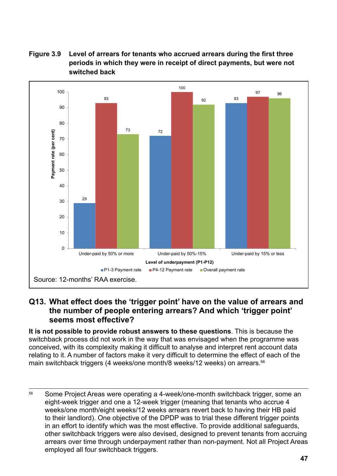



#### **Q13. What effect does the 'trigger point' have on the value of arrears and Q13. What effect does the 'trigger point' have on the value of arrears and the the number of people entering arrears? And which 'trigger point' number of people entering arrears? And which 'trigger point' seems seems most effective? most effective?**

**It is not possible to provide robust answers to these questions**. This is because the *It is not possible to provide robust answers to these questions.* This is because switchback process did not work in the way that was envisaged when the programme was conceived, with its complexity making it difficult to analyse and interpret rent account data editing to it. A number of factors make it very difficult to determine the effect of each of the relating to it. A manned of factors make it very almedit to determine the effect of each<br>main switchback triggers (4 weeks/one month/8 weeks/12 weeks) on arrears.<sup>56</sup> switchback triggers (4 week

<sup>&</sup>lt;sup>56</sup> Some Project Areas were operating a 4-week/one-month switchback trigger, some an eight-week trigger and one a 12-week trigger (meaning that tenants who accrue 4 weeks/one month/eight weeks/12 weeks arrears revert back to having their HB paid to their landlord). One objective of the DPDP was to trial these different trigger points in an effort to identify which was the most effective. To provide additional safeguards, other switchback triggers were also devised, designed to prevent tenants from accruing effort contention angular more also conceed, acception to provide to make montate and an efforting employed all four switchback triggers. switched back under the additional  $\alpha$  and  $\alpha$  and  $\alpha$  and  $\alpha$  and  $\alpha$  and  $\alpha$  and  $\alpha$ alfears over unie unough underpayment rather than non-payment. Not all Froj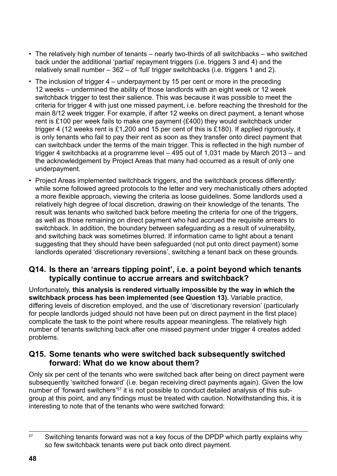- The relatively high number of tenants nearly two-thirds of all switchbacks who switched back under the additional 'partial' repayment triggers (i.e. triggers 3 and 4) and the relatively small number – 362 – of 'full' trigger switchbacks (i.e. triggers 1 and 2).
- The inclusion of trigger 4 underpayment by 15 per cent or more in the preceding 12 weeks – undermined the ability of those landlords with an eight week or 12 week switchback trigger to test their salience. This was because it was possible to meet the criteria for trigger 4 with just one missed payment, i.e. before reaching the threshold for the main 8/12 week trigger. For example, if after 12 weeks on direct payment, a tenant whose rent is £100 per week fails to make one payment (£400) they would switchback under trigger 4 (12 weeks rent is £1,200 and 15 per cent of this is £180). If applied rigorously, it is only tenants who fail to pay their rent as soon as they transfer onto direct payment that can switchback under the terms of the main trigger. This is reflected in the high number of trigger 4 switchbacks at a programme level – 495 out of 1,031 made by March 2013 – and the acknowledgement by Project Areas that many had occurred as a result of only one underpayment.
- Project Areas implemented switchback triggers, and the switchback process differently: while some followed agreed protocols to the letter and very mechanistically others adopted a more flexible approach, viewing the criteria as loose guidelines. Some landlords used a relatively high degree of local discretion, drawing on their knowledge of the tenants. The result was tenants who switched back before meeting the criteria for one of the triggers, as well as those remaining on direct payment who had accrued the requisite arrears to switchback. In addition, the boundary between safeguarding as a result of vulnerability, and switching back was sometimes blurred. If information came to light about a tenant suggesting that they should have been safeguarded (not put onto direct payment) some landlords operated 'discretionary reversions', switching a tenant back on these grounds.

#### **Q14. Is there an 'arrears tipping point', i.e. a point beyond which tenants typically continue to accrue arrears and switchback?**

Unfortunately, **this analysis is rendered virtually impossible by the way in which the switchback process has been implemented (see Question 13).** Variable practice, differing levels of discretion employed, and the use of 'discretionary reversion' (particularly for people landlords judged should not have been put on direct payment in the first place) complicate the task to the point where results appear meaningless. The relatively high number of tenants switching back after one missed payment under trigger 4 creates added problems.

#### **Q15. Some tenants who were switched back subsequently switched forward: What do we know about them?**

Only six per cent of the tenants who were switched back after being on direct payment were subsequently 'switched forward' (i.e. began receiving direct payments again). Given the low number of 'forward switchers'<sup>57</sup> it is not possible to conduct detailed analysis of this subgroup at this point, and any findings must be treated with caution. Notwithstanding this, it is interesting to note that of the tenants who were switched forward:

<sup>&</sup>lt;sup>57</sup> Switching tenants forward was not a key focus of the DPDP which partly explains why so few switchback tenants were put back onto direct payment.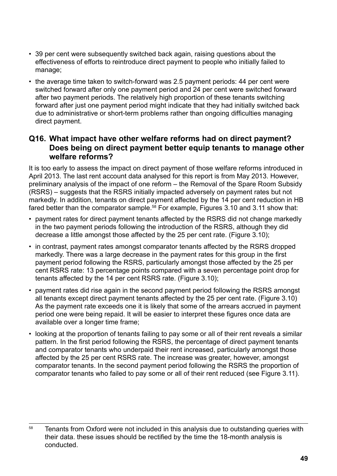- 39 per cent were subsequently switched back again, raising questions about the effectiveness of efforts to reintroduce direct payment to people who initially failed to manage;
- the average time taken to switch-forward was 2.5 payment periods: 44 per cent were switched forward after only one payment period and 24 per cent were switched forward after two payment periods. The relatively high proportion of these tenants switching forward after just one payment period might indicate that they had initially switched back due to administrative or short-term problems rather than ongoing difficulties managing direct payment.

#### **Q16. What impact have other welfare reforms had on direct payment? Does being on direct payment better equip tenants to manage other welfare reforms?**

It is too early to assess the impact on direct payment of those welfare reforms introduced in April 2013. The last rent account data analysed for this report is from May 2013. However, preliminary analysis of the impact of one reform – the Removal of the Spare Room Subsidy (RSRS) – suggests that the RSRS initially impacted adversely on payment rates but not markedly. In addition, tenants on direct payment affected by the 14 per cent reduction in HB fared better than the comparator sample.<sup>58</sup> For example, Figures 3.10 and 3.11 show that:

- payment rates for direct payment tenants affected by the RSRS did not change markedly in the two payment periods following the introduction of the RSRS, although they did decrease a little amongst those affected by the 25 per cent rate. (Figure 3.10);
- in contrast, payment rates amongst comparator tenants affected by the RSRS dropped markedly. There was a large decrease in the payment rates for this group in the first payment period following the RSRS, particularly amongst those affected by the 25 per cent RSRS rate: 13 percentage points compared with a seven percentage point drop for tenants affected by the 14 per cent RSRS rate. (Figure 3.10);
- payment rates did rise again in the second payment period following the RSRS amongst all tenants except direct payment tenants affected by the 25 per cent rate. (Figure 3.10) As the payment rate exceeds one it is likely that some of the arrears accrued in payment period one were being repaid. It will be easier to interpret these figures once data are available over a longer time frame;
- looking at the proportion of tenants failing to pay some or all of their rent reveals a similar pattern. In the first period following the RSRS, the percentage of direct payment tenants and comparator tenants who underpaid their rent increased, particularly amongst those affected by the 25 per cent RSRS rate. The increase was greater, however, amongst comparator tenants. In the second payment period following the RSRS the proportion of comparator tenants who failed to pay some or all of their rent reduced (see Figure 3.11).

<sup>&</sup>lt;sup>58</sup> Tenants from Oxford were not included in this analysis due to outstanding queries with their data. these issues should be rectified by the time the 18-month analysis is conducted.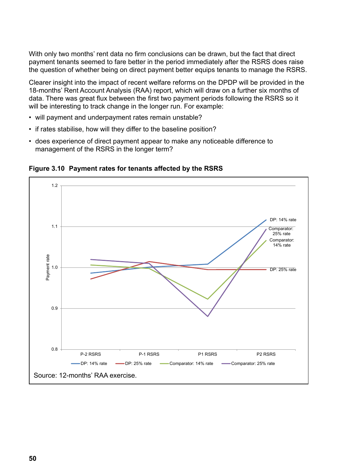With only two months' rent data no firm conclusions can be drawn, but the fact that direct payment tenants seemed to fare better in the period immediately after the RSRS does raise the question of whether being on direct payment better equips tenants to manage the RSRS.

Clearer insight into the impact of recent welfare reforms on the DPDP will be provided in the Clearer insight into the impact of recent welfare reforms on the DPDP will be 18-months' Rent Account Analysis (RAA) report, which will draw on a further six months of data. There was great flux between the first two payment periods following the RSRS so it will be interesting to track change in the longer run. For example:

- will payment and underpayment rates remain unstable?
- if rates stabilise, how will they differ to the baseline position?
- does experience of direct payment appear to make any noticeable difference to management of the RSRS in the longer term?



**Figure 3.10 Payment rates for tenants affected by the RSRS Figure 3.10: Payment rates for tenants affected by the RSRS**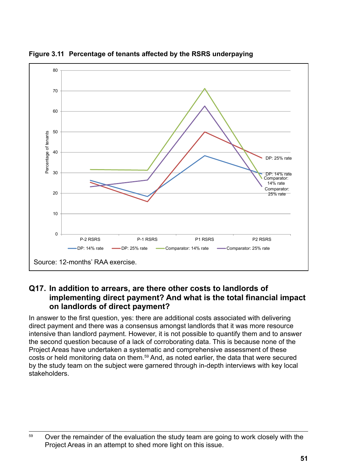

**Figure 3.11 Percentage of tenants affected by the RSRS underpaying Figure 3.11: Percentage of tenants affected by the RSRS underpaying** 

### Q17. In addition to arrears, are there other costs to landlords of implementing direct payment? And what is the total financial impact on landlords of direct payment? **In answer to the first of the first of the a**

In answer to the first question, yes: there are additional costs associated with delivering montermed to the more question, year and o used as deditional sector descounts than domenting direct payment and there was a consensus amongst landlords that it was more resource all corpayment and there was a consensas amongst landlores that it was more resource intensive than landlord payment. However, it is not possible to quantify them and to answer the second question because of a lack of corroborating data. This is because none of the Project Areas have undertaken a systematic and comprehensive assessment of these costs or held monitoring data on them.<sup>59</sup> And, as noted earlier, the data that were secured by the study team on the subject were garnered through in-depth interviews with key local stakeholders. When exploring this issue it is important to focus not just on costs but also on costs but also o  $\frac{1}{2}$ data. This is none of the Program and the Property areas have undertaken and the  $\frac{1}{2}$ 

 $59$  Over the remainder of the evaluation the study team are going to work closely with the Project Areas in an attempt to shed more light on this issue.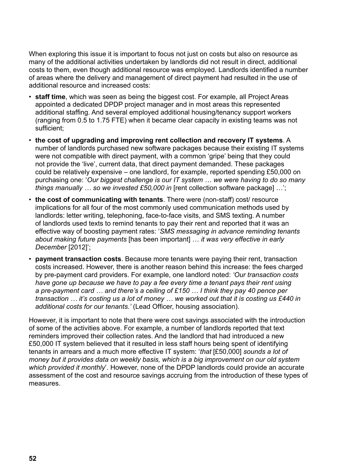When exploring this issue it is important to focus not just on costs but also on resource as many of the additional activities undertaken by landlords did not result in direct, additional costs to them, even though additional resource was employed. Landlords identified a number of areas where the delivery and management of direct payment had resulted in the use of additional resource and increased costs:

- **staff time**, which was seen as being the biggest cost. For example, all Project Areas appointed a dedicated DPDP project manager and in most areas this represented additional staffing. And several employed additional housing/tenancy support workers (ranging from 0.5 to 1.75 FTE) when it became clear capacity in existing teams was not sufficient;
- **the cost of upgrading and improving rent collection and recovery IT systems**. A number of landlords purchased new software packages because their existing IT systems were not compatible with direct payment, with a common 'gripe' being that they could not provide the 'live', current data, that direct payment demanded. These packages could be relatively expensive – one landlord, for example, reported spending £50,000 on purchasing one: '*Our biggest challenge is our IT system … we were having to do so many things manually … so we invested £50,000 in* [rent collection software package] …';
- **the cost of communicating with tenants**. There were (non-staff) cost/ resource implications for all four of the most commonly used communication methods used by landlords: letter writing, telephoning, face-to-face visits, and SMS texting. A number of landlords used texts to remind tenants to pay their rent and reported that it was an effective way of boosting payment rates: '*SMS messaging in advance reminding tenants about making future payments* [has been important] … *it was very effective in early December* [2012]';
- **payment transaction costs**. Because more tenants were paying their rent, transaction costs increased. However, there is another reason behind this increase: the fees charged by pre-payment card providers. For example, one landlord noted: *'Our transaction costs have gone up because we have to pay a fee every time a tenant pays their rent using a pre-payment card … and there's a ceiling of £150 … I think they pay 40 pence per transaction … it's costing us a lot of money … we worked out that it is costing us £440 in additional costs for our tenants.'* (Lead Officer, housing association).

However, it is important to note that there were cost savings associated with the introduction of some of the activities above. For example, a number of landlords reported that text reminders improved their collection rates. And the landlord that had introduced a new £50,000 IT system believed that it resulted in less staff hours being spent of identifying tenants in arrears and a much more effective IT system: '*that* [£50,000] *sounds a lot of money but it provides data on weekly basis, which is a big improvement on our old system which provided it monthly*'. However, none of the DPDP landlords could provide an accurate assessment of the cost and resource savings accruing from the introduction of these types of measures.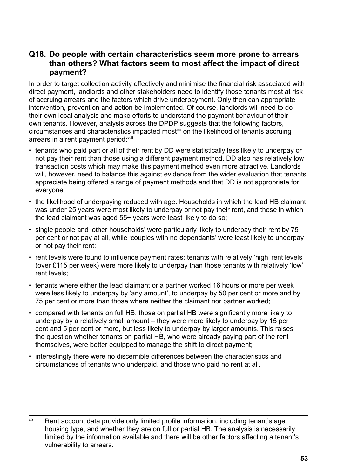#### **Q18. Do people with certain characteristics seem more prone to arrears than others? What factors seem to most affect the impact of direct payment?**

In order to target collection activity effectively and minimise the financial risk associated with direct payment, landlords and other stakeholders need to identify those tenants most at risk of accruing arrears and the factors which drive underpayment. Only then can appropriate intervention, prevention and action be implemented. Of course, landlords will need to do their own local analysis and make efforts to understand the payment behaviour of their own tenants. However, analysis across the DPDP suggests that the following factors,  $circum$ stances and characteristics impacted most $60$  on the likelihood of tenants accruing arrears in a rent payment period: xvii

- tenants who paid part or all of their rent by DD were statistically less likely to underpay or not pay their rent than those using a different payment method. DD also has relatively low transaction costs which may make this payment method even more attractive. Landlords will, however, need to balance this against evidence from the wider evaluation that tenants appreciate being offered a range of payment methods and that DD is not appropriate for everyone;
- the likelihood of underpaying reduced with age. Households in which the lead HB claimant was under 25 years were most likely to underpay or not pay their rent, and those in which the lead claimant was aged 55+ years were least likely to do so;
- single people and 'other households' were particularly likely to underpay their rent by 75 per cent or not pay at all, while 'couples with no dependants' were least likely to underpay or not pay their rent;
- rent levels were found to influence payment rates: tenants with relatively 'high' rent levels (over £115 per week) were more likely to underpay than those tenants with relatively 'low' rent levels;
- tenants where either the lead claimant or a partner worked 16 hours or more per week were less likely to underpay by 'any amount', to underpay by 50 per cent or more and by 75 per cent or more than those where neither the claimant nor partner worked;
- compared with tenants on full HB, those on partial HB were significantly more likely to underpay by a relatively small amount – they were more likely to underpay by 15 per cent and 5 per cent or more, but less likely to underpay by larger amounts. This raises the question whether tenants on partial HB, who were already paying part of the rent themselves, were better equipped to manage the shift to direct payment;
- interestingly there were no discernible differences between the characteristics and circumstances of tenants who underpaid, and those who paid no rent at all.

<sup>&</sup>lt;sup>60</sup> Rent account data provide only limited profile information, including tenant's age, housing type, and whether they are on full or partial HB. The analysis is necessarily limited by the information available and there will be other factors affecting a tenant's vulnerability to arrears.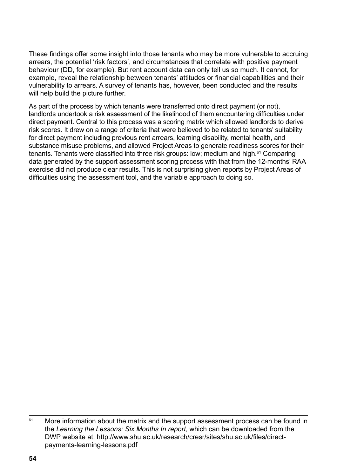These findings offer some insight into those tenants who may be more vulnerable to accruing arrears, the potential 'risk factors', and circumstances that correlate with positive payment behaviour (DD, for example). But rent account data can only tell us so much. It cannot, for example, reveal the relationship between tenants' attitudes or financial capabilities and their vulnerability to arrears. A survey of tenants has, however, been conducted and the results will help build the picture further.

As part of the process by which tenants were transferred onto direct payment (or not), landlords undertook a risk assessment of the likelihood of them encountering difficulties under direct payment. Central to this process was a scoring matrix which allowed landlords to derive risk scores. It drew on a range of criteria that were believed to be related to tenants' suitability for direct payment including previous rent arrears, learning disability, mental health, and substance misuse problems, and allowed Project Areas to generate readiness scores for their tenants. Tenants were classified into three risk groups: low; medium and high.<sup>61</sup> Comparing data generated by the support assessment scoring process with that from the 12-months' RAA exercise did not produce clear results. This is not surprising given reports by Project Areas of difficulties using the assessment tool, and the variable approach to doing so.

<sup>&</sup>lt;sup>61</sup> More information about the matrix and the support assessment process can be found in the *Learning the Lessons: Six Months In report*, which can be downloaded from the DWP website at: [http://www.shu.ac.uk/research/cresr/sites/shu.ac.uk/files/direct](http://www.shu.ac.uk/research/cresr/sites/shu.ac.uk/files/direct-payments-learning-lessons.pdf)[payments-learning-lessons.pdf](http://www.shu.ac.uk/research/cresr/sites/shu.ac.uk/files/direct-payments-learning-lessons.pdf)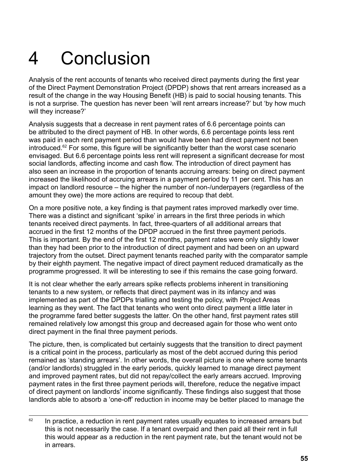## <span id="page-54-0"></span>4 Conclusion

Analysis of the rent accounts of tenants who received direct payments during the first year of the Direct Payment Demonstration Project (DPDP) shows that rent arrears increased as a result of the change in the way Housing Benefit (HB) is paid to social housing tenants. This is not a surprise. The question has never been 'will rent arrears increase?' but 'by how much will they increase?'

Analysis suggests that a decrease in rent payment rates of 6.6 percentage points can be attributed to the direct payment of HB. In other words, 6.6 percentage points less rent was paid in each rent payment period than would have been had direct payment not been introduced.<sup>62</sup> For some, this figure will be significantly better than the worst case scenario envisaged. But 6.6 percentage points less rent will represent a significant decrease for most social landlords, affecting income and cash flow. The introduction of direct payment has also seen an increase in the proportion of tenants accruing arrears: being on direct payment increased the likelihood of accruing arrears in a payment period by 11 per cent. This has an impact on landlord resource – the higher the number of non-/underpayers (regardless of the amount they owe) the more actions are required to recoup that debt.

On a more positive note, a key finding is that payment rates improved markedly over time. There was a distinct and significant 'spike' in arrears in the first three periods in which tenants received direct payments. In fact, three-quarters of all additional arrears that accrued in the first 12 months of the DPDP accrued in the first three payment periods. This is important. By the end of the first 12 months, payment rates were only slightly lower than they had been prior to the introduction of direct payment and had been on an upward trajectory from the outset. Direct payment tenants reached parity with the comparator sample by their eighth payment. The negative impact of direct payment reduced dramatically as the programme progressed. It will be interesting to see if this remains the case going forward.

It is not clear whether the early arrears spike reflects problems inherent in transitioning tenants to a new system, or reflects that direct payment was in its infancy and was implemented as part of the DPDPs trialling and testing the policy, with Project Areas learning as they went. The fact that tenants who went onto direct payment a little later in the programme fared better suggests the latter. On the other hand, first payment rates still remained relatively low amongst this group and decreased again for those who went onto direct payment in the final three payment periods.

The picture, then, is complicated but certainly suggests that the transition to direct payment is a critical point in the process, particularly as most of the debt accrued during this period remained as 'standing arrears'. In other words, the overall picture is one where some tenants (and/or landlords) struggled in the early periods, quickly learned to manage direct payment and improved payment rates, but did not repay/collect the early arrears accrued. Improving payment rates in the first three payment periods will, therefore, reduce the negative impact of direct payment on landlords' income significantly. These findings also suggest that those landlords able to absorb a 'one-off' reduction in income may be better placed to manage the

 $62$  In practice, a reduction in rent payment rates usually equates to increased arrears but this is not necessarily the case. If a tenant overpaid and then paid all their rent in full this would appear as a reduction in the rent payment rate, but the tenant would not be in arrears.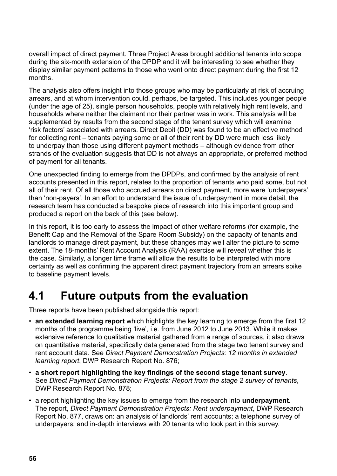<span id="page-55-0"></span>overall impact of direct payment. Three Project Areas brought additional tenants into scope during the six-month extension of the DPDP and it will be interesting to see whether they display similar payment patterns to those who went onto direct payment during the first 12 months.

The analysis also offers insight into those groups who may be particularly at risk of accruing arrears, and at whom intervention could, perhaps, be targeted. This includes younger people (under the age of 25), single person households, people with relatively high rent levels, and households where neither the claimant nor their partner was in work. This analysis will be supplemented by results from the second stage of the tenant survey which will examine 'risk factors' associated with arrears. Direct Debit (DD) was found to be an effective method for collecting rent – tenants paying some or all of their rent by DD were much less likely to underpay than those using different payment methods – although evidence from other strands of the evaluation suggests that DD is not always an appropriate, or preferred method of payment for all tenants.

One unexpected finding to emerge from the DPDPs, and confirmed by the analysis of rent accounts presented in this report, relates to the proportion of tenants who paid some, but not all of their rent. Of all those who accrued arrears on direct payment, more were 'underpayers' than 'non-payers'. In an effort to understand the issue of underpayment in more detail, the research team has conducted a bespoke piece of research into this important group and produced a report on the back of this (see below).

In this report, it is too early to assess the impact of other welfare reforms (for example, the Benefit Cap and the Removal of the Spare Room Subsidy) on the capacity of tenants and landlords to manage direct payment, but these changes may well alter the picture to some extent. The 18-months' Rent Account Analysis (RAA) exercise will reveal whether this is the case. Similarly, a longer time frame will allow the results to be interpreted with more certainty as well as confirming the apparent direct payment trajectory from an arrears spike to baseline payment levels.

## **4.1 Future outputs from the evaluation**

Three reports have been published alongside this report:

- **an extended learning report** which highlights the key learning to emerge from the first 12 months of the programme being 'live', i.e. from June 2012 to June 2013. While it makes extensive reference to qualitative material gathered from a range of sources, it also draws on quantitative material, specifically data generated from the stage two tenant survey and rent account data. See *Direct Payment Demonstration Projects: 12 months in extended learning report*, DWP Research Report No. 876;
- **a short report highlighting the key findings of the second stage tenant survey**. See *Direct Payment Demonstration Projects: Report from the stage 2 survey of tenants*, DWP Research Report No. 878;
- a report highlighting the key issues to emerge from the research into **underpayment***.* The report, *Direct Payment Demonstration Projects: Rent underpayment*, DWP Research Report No. 877, draws on: an analysis of landlords' rent accounts; a telephone survey of underpayers; and in-depth interviews with 20 tenants who took part in this survey.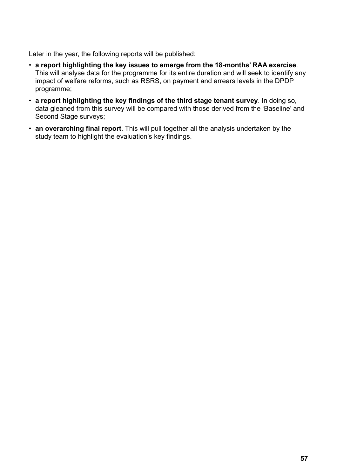Later in the year, the following reports will be published:

- **a report highlighting the key issues to emerge from the 18-months' RAA exercise**. This will analyse data for the programme for its entire duration and will seek to identify any impact of welfare reforms, such as RSRS, on payment and arrears levels in the DPDP programme;
- **a report highlighting the key findings of the third stage tenant survey**. In doing so, data gleaned from this survey will be compared with those derived from the 'Baseline' and Second Stage surveys;
- **an overarching final report**. This will pull together all the analysis undertaken by the study team to highlight the evaluation's key findings.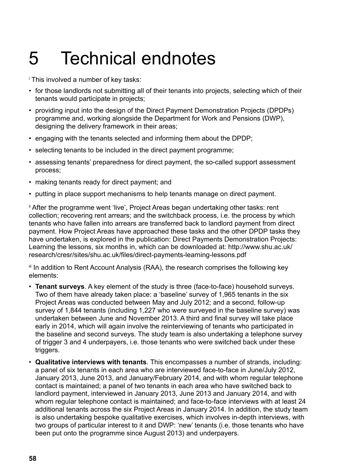## <span id="page-57-0"></span>5 Technical endnotes

- i This involved a number of key tasks:
- for those landlords not submitting all of their tenants into projects, selecting which of their tenants would participate in projects;
- providing input into the design of the Direct Payment Demonstration Projects (DPDPs) programme and, working alongside the Department for Work and Pensions (DWP), designing the delivery framework in their areas;
- engaging with the tenants selected and informing them about the DPDP;
- selecting tenants to be included in the direct payment programme;
- assessing tenants' preparedness for direct payment, the so-called support assessment process;
- making tenants ready for direct payment; and
- putting in place support mechanisms to help tenants manage on direct payment.

" After the programme went 'live', Project Areas began undertaking other tasks: rent collection; recovering rent arrears; and the switchback process, i.e. the process by which tenants who have fallen into arrears are transferred back to landlord payment from direct payment. How Project Areas have approached these tasks and the other DPDP tasks they have undertaken, is explored in the publication: Direct Payments Demonstration Projects: Learning the lessons, six months in, which can be downloaded at: [http://www.shu.ac.uk/](http://www.shu.ac.uk/research/cresr/sites/shu.ac.uk/files/direct-payments-learning-lessons.pdf ) [research/cresr/sites/shu.ac.uk/files/direct-payments-learning-lessons.pdf](http://www.shu.ac.uk/research/cresr/sites/shu.ac.uk/files/direct-payments-learning-lessons.pdf ) 

III In addition to Rent Account Analysis (RAA), the research comprises the following key elements:

- **Tenant surveys**. A key element of the study is three (face-to-face) household surveys. Two of them have already taken place: a 'baseline' survey of 1,965 tenants in the six Project Areas was conducted between May and July 2012; and a second, follow-up survey of 1,844 tenants (including 1,227 who were surveyed in the baseline survey) was undertaken between June and November 2013. A third and final survey will take place early in 2014, which will again involve the reinterviewing of tenants who participated in the baseline and second surveys. The study team is also undertaking a telephone survey of trigger 3 and 4 underpayers, i.e. those tenants who were switched back under these triggers.
- **Qualitative interviews with tenants**. This encompasses a number of strands, including: a panel of six tenants in each area who are interviewed face-to-face in June/July 2012, January 2013, June 2013, and January/February 2014, and with whom regular telephone contact is maintained; a panel of two tenants in each area who have switched back to landlord payment, interviewed in January 2013, June 2013 and January 2014, and with whom regular telephone contact is maintained; and face-to-face interviews with at least 24 additional tenants across the six Project Areas in January 2014. In addition, the study team is also undertaking bespoke qualitative exercises, which involves in-depth interviews, with two groups of particular interest to it and DWP: 'new' tenants (i.e. those tenants who have been put onto the programme since August 2013) and underpayers.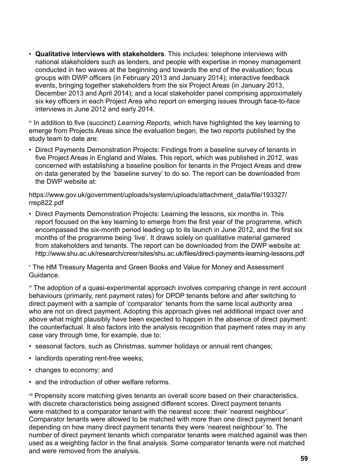• **Qualitative interviews with stakeholders**. This includes: telephone interviews with national stakeholders such as lenders, and people with expertise in money management conducted in two waves at the beginning and towards the end of the evaluation; focus groups with DWP officers (in February 2013 and January 2014); interactive feedback events, bringing together stakeholders from the six Project Areas (in January 2013, December 2013 and April 2014); and a local stakeholder panel comprising approximately six key officers in each Project Area who report on emerging issues through face-to-face interviews in June 2012 and early 2014.

iv In addition to five (succinct) *Learning Reports*, which have highlighted the key learning to emerge from Projects Areas since the evaluation began, the two reports published by the study team to date are:

• Direct Payments Demonstration Projects: Findings from a baseline survey of tenants in five Project Areas in England and Wales. This report, which was published in 2012, was concerned with establishing a baseline position for tenants in the Project Areas and drew on data generated by the 'baseline survey' to do so. The report can be downloaded from the DWP website at:

[https://www.gov.uk/government/uploads/system/uploads/attachment\\_data/file/193327/](https://www.gov.uk/government/uploads/system/uploads/attachment_data/file/193327/rrep822.pdf ) [rrep822.pdf](https://www.gov.uk/government/uploads/system/uploads/attachment_data/file/193327/rrep822.pdf ) 

• Direct Payments Demonstration Projects: Learning the lessons, six months in. This report focused on the key learning to emerge from the first year of the programme, which encompassed the six-month period leading up to its launch in June 2012, and the first six months of the programme being 'live'. It draws solely on qualitative material garnered from stakeholders and tenants. The report can be downloaded from the DWP website at: http://www.shu.ac.uk/research/cresr/sites/shu.ac.uk/files/direct-payments-learning-lessons.pdf

v The HM Treasury Magenta and Green Books and Value for Money and Assessment Guidance.

vi The adoption of a quasi-experimental approach involves comparing change in rent account behaviours (primarily, rent payment rates) for DPDP tenants before and after switching to direct payment with a sample of 'comparator' tenants from the same local authority area who are not on direct payment. Adopting this approach gives net additional impact over and above what might plausibly have been expected to happen in the absence of direct payment: the counterfactual. It also factors into the analysis recognition that payment rates may in any case vary through time, for example, due to:

- seasonal factors, such as Christmas, summer holidays or annual rent changes;
- landlords operating rent-free weeks;
- changes to economy; and
- and the introduction of other welfare reforms.

**VII** Propensity score matching gives tenants an overall score based on their characteristics, with discrete characteristics being assigned different scores. Direct payment tenants were matched to a comparator tenant with the nearest score: their 'nearest neighbour'. Comparator tenants were allowed to be matched with more than one direct payment tenant depending on how many direct payment tenants they were 'nearest neighbour' to. The number of direct payment tenants which comparator tenants were matched against was then used as a weighting factor in the final analysis. Some comparator tenants were not matched and were removed from the analysis.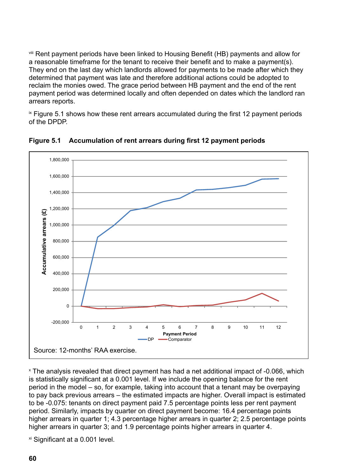viii Rent payment periods have been linked to Housing Benefit (HB) payments and allow for a reasonable timeframe for the tenant to receive their benefit and to make a payment(s). a reasonable amonaline for the tenant to reserve their benefit and to make a payment (b).<br>They end on the last day which landlords allowed for payments to be made after which they they she on the fact any mindimental actions comparisons to be make anter mindiment and determined that payment was late and therefore additional actions could be adopted to determined that payment was fate and therefore daditional actions coald be dappled to reclaim the monies owed. The grace period between HB payment and the end of the rent payment period was determined locally and often depended on dates which the landlord ran arrears reports. **payment period was determined on dates which the landlord random conducts** which the landlord random conducts which the landlord random conducts which the landlord random conducts which the landlord rando  $\alpha$ dini lile monies owed. The grace penod between the payment and the end of the refi yment period was determined locally and often depended on dates which the landlord

 $\alpha$  Figure 5.1 shows how these rent arrears accumulated during the first 12 payment periods of the DPDP.  $\mathsf{the}\ \mathsf{DPDP}.$ 



Figure 5.1 Accumulation of rent arrears during first 12 payment periods

x The analysis revealed that direct payment has had a net additional impact of -0.066, which is statistically significant at a 0.001 level. If we include the opening balance for the rent period in the model – so, for example, taking into account that a tenant may be overpaying to pay back previous arrears – the estimated impacts are higher. Overall impact is estimated to be -0.075: tenants on direct payment paid 7.5 percentage points less per rent payment period. Similarly, impacts by quarter on direct payment become: 16.4 percentage points higher arrears in quarter 1; 4.3 percentage higher arrears in quarter 2; 2.5 percentage points higher arrears in quarter 3; and 1.9 percentage points higher arrears in quarter 4. The analysis revealed that direct payment has had a net additional impact of -0.066, which ne analysis revealed that direct payment has had a net additional impact of -0.066, wr

 $x$  Significant at a 0.001 level.